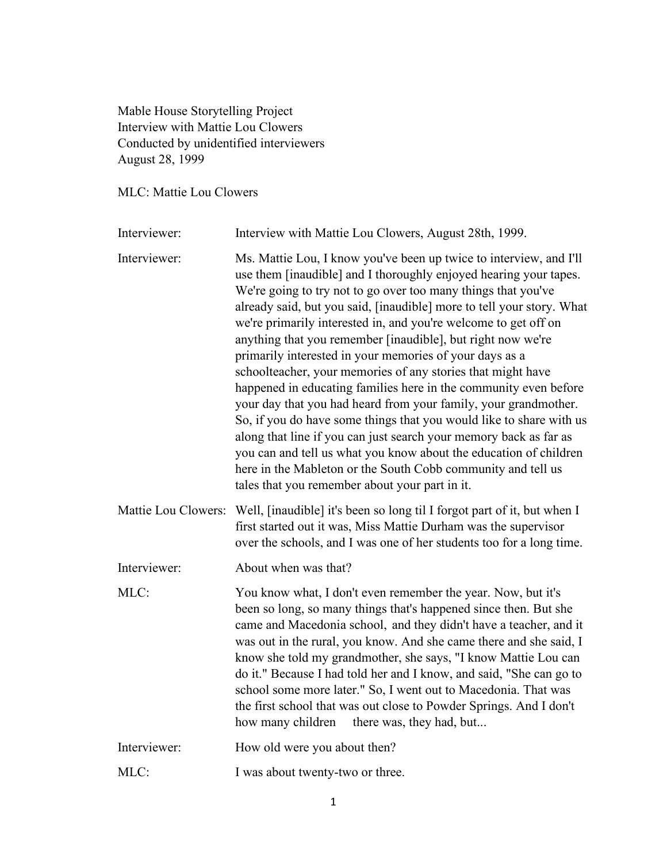Mable House Storytelling Project Interview with Mattie Lou Clowers Conducted by unidentified interviewers August 28, 1999

MLC: Mattie Lou Clowers

| Interviewer:        | Interview with Mattie Lou Clowers, August 28th, 1999.                                                                                                                                                                                                                                                                                                                                                                                                                                                                                                                                                                                                                                                                                                                                                                                                                                                                                                                                                                   |
|---------------------|-------------------------------------------------------------------------------------------------------------------------------------------------------------------------------------------------------------------------------------------------------------------------------------------------------------------------------------------------------------------------------------------------------------------------------------------------------------------------------------------------------------------------------------------------------------------------------------------------------------------------------------------------------------------------------------------------------------------------------------------------------------------------------------------------------------------------------------------------------------------------------------------------------------------------------------------------------------------------------------------------------------------------|
| Interviewer:        | Ms. Mattie Lou, I know you've been up twice to interview, and I'll<br>use them [inaudible] and I thoroughly enjoyed hearing your tapes.<br>We're going to try not to go over too many things that you've<br>already said, but you said, [inaudible] more to tell your story. What<br>we're primarily interested in, and you're welcome to get off on<br>anything that you remember [inaudible], but right now we're<br>primarily interested in your memories of your days as a<br>schoolteacher, your memories of any stories that might have<br>happened in educating families here in the community even before<br>your day that you had heard from your family, your grandmother.<br>So, if you do have some things that you would like to share with us<br>along that line if you can just search your memory back as far as<br>you can and tell us what you know about the education of children<br>here in the Mableton or the South Cobb community and tell us<br>tales that you remember about your part in it. |
| Mattie Lou Clowers: | Well, [inaudible] it's been so long til I forgot part of it, but when I<br>first started out it was, Miss Mattie Durham was the supervisor<br>over the schools, and I was one of her students too for a long time.                                                                                                                                                                                                                                                                                                                                                                                                                                                                                                                                                                                                                                                                                                                                                                                                      |
| Interviewer:        | About when was that?                                                                                                                                                                                                                                                                                                                                                                                                                                                                                                                                                                                                                                                                                                                                                                                                                                                                                                                                                                                                    |
| MLC:                | You know what, I don't even remember the year. Now, but it's<br>been so long, so many things that's happened since then. But she<br>came and Macedonia school, and they didn't have a teacher, and it<br>was out in the rural, you know. And she came there and she said, I<br>know she told my grandmother, she says, "I know Mattie Lou can<br>do it." Because I had told her and I know, and said, "She can go to<br>school some more later." So, I went out to Macedonia. That was<br>the first school that was out close to Powder Springs. And I don't<br>how many children<br>there was, they had, but                                                                                                                                                                                                                                                                                                                                                                                                           |
| Interviewer:        | How old were you about then?                                                                                                                                                                                                                                                                                                                                                                                                                                                                                                                                                                                                                                                                                                                                                                                                                                                                                                                                                                                            |
| MLC:                | I was about twenty-two or three.                                                                                                                                                                                                                                                                                                                                                                                                                                                                                                                                                                                                                                                                                                                                                                                                                                                                                                                                                                                        |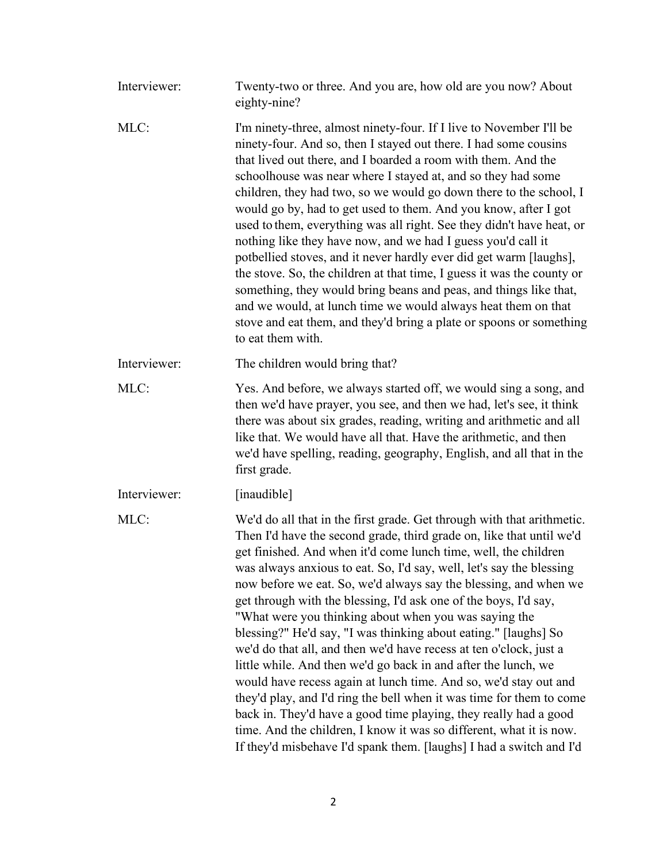| Interviewer: | Twenty-two or three. And you are, how old are you now? About<br>eighty-nine?                                                                                                                                                                                                                                                                                                                                                                                                                                                                                                                                                                                                                                                                                                                                                                                                                                                                                                                                                                                        |
|--------------|---------------------------------------------------------------------------------------------------------------------------------------------------------------------------------------------------------------------------------------------------------------------------------------------------------------------------------------------------------------------------------------------------------------------------------------------------------------------------------------------------------------------------------------------------------------------------------------------------------------------------------------------------------------------------------------------------------------------------------------------------------------------------------------------------------------------------------------------------------------------------------------------------------------------------------------------------------------------------------------------------------------------------------------------------------------------|
| MLC:         | I'm ninety-three, almost ninety-four. If I live to November I'll be<br>ninety-four. And so, then I stayed out there. I had some cousins<br>that lived out there, and I boarded a room with them. And the<br>schoolhouse was near where I stayed at, and so they had some<br>children, they had two, so we would go down there to the school, I<br>would go by, had to get used to them. And you know, after I got<br>used to them, everything was all right. See they didn't have heat, or<br>nothing like they have now, and we had I guess you'd call it<br>potbellied stoves, and it never hardly ever did get warm [laughs],<br>the stove. So, the children at that time, I guess it was the county or<br>something, they would bring beans and peas, and things like that,<br>and we would, at lunch time we would always heat them on that<br>stove and eat them, and they'd bring a plate or spoons or something<br>to eat them with.                                                                                                                        |
| Interviewer: | The children would bring that?                                                                                                                                                                                                                                                                                                                                                                                                                                                                                                                                                                                                                                                                                                                                                                                                                                                                                                                                                                                                                                      |
| MLC:         | Yes. And before, we always started off, we would sing a song, and<br>then we'd have prayer, you see, and then we had, let's see, it think<br>there was about six grades, reading, writing and arithmetic and all<br>like that. We would have all that. Have the arithmetic, and then<br>we'd have spelling, reading, geography, English, and all that in the<br>first grade.                                                                                                                                                                                                                                                                                                                                                                                                                                                                                                                                                                                                                                                                                        |
| Interviewer: | [inaudible]                                                                                                                                                                                                                                                                                                                                                                                                                                                                                                                                                                                                                                                                                                                                                                                                                                                                                                                                                                                                                                                         |
| MLC:         | We'd do all that in the first grade. Get through with that arithmetic.<br>Then I'd have the second grade, third grade on, like that until we'd<br>get finished. And when it'd come lunch time, well, the children<br>was always anxious to eat. So, I'd say, well, let's say the blessing<br>now before we eat. So, we'd always say the blessing, and when we<br>get through with the blessing, I'd ask one of the boys, I'd say,<br>"What were you thinking about when you was saying the<br>blessing?" He'd say, "I was thinking about eating." [laughs] So<br>we'd do that all, and then we'd have recess at ten o'clock, just a<br>little while. And then we'd go back in and after the lunch, we<br>would have recess again at lunch time. And so, we'd stay out and<br>they'd play, and I'd ring the bell when it was time for them to come<br>back in. They'd have a good time playing, they really had a good<br>time. And the children, I know it was so different, what it is now.<br>If they'd misbehave I'd spank them. [laughs] I had a switch and I'd |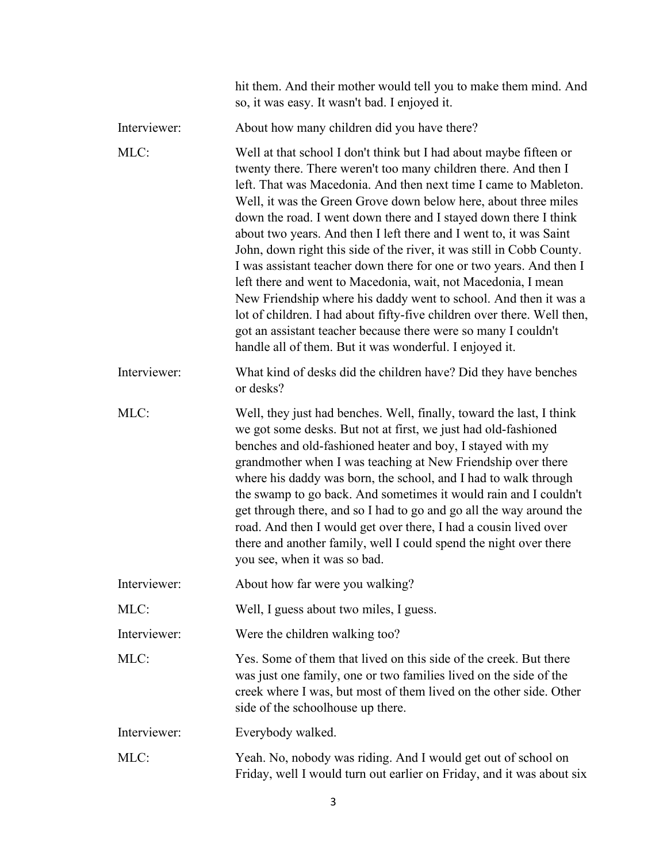|              | hit them. And their mother would tell you to make them mind. And<br>so, it was easy. It wasn't bad. I enjoyed it.                                                                                                                                                                                                                                                                                                                                                                                                                                                                                                                                                                                                                                                                                                                                                                                                   |
|--------------|---------------------------------------------------------------------------------------------------------------------------------------------------------------------------------------------------------------------------------------------------------------------------------------------------------------------------------------------------------------------------------------------------------------------------------------------------------------------------------------------------------------------------------------------------------------------------------------------------------------------------------------------------------------------------------------------------------------------------------------------------------------------------------------------------------------------------------------------------------------------------------------------------------------------|
| Interviewer: | About how many children did you have there?                                                                                                                                                                                                                                                                                                                                                                                                                                                                                                                                                                                                                                                                                                                                                                                                                                                                         |
| MLC:         | Well at that school I don't think but I had about maybe fifteen or<br>twenty there. There weren't too many children there. And then I<br>left. That was Macedonia. And then next time I came to Mableton.<br>Well, it was the Green Grove down below here, about three miles<br>down the road. I went down there and I stayed down there I think<br>about two years. And then I left there and I went to, it was Saint<br>John, down right this side of the river, it was still in Cobb County.<br>I was assistant teacher down there for one or two years. And then I<br>left there and went to Macedonia, wait, not Macedonia, I mean<br>New Friendship where his daddy went to school. And then it was a<br>lot of children. I had about fifty-five children over there. Well then,<br>got an assistant teacher because there were so many I couldn't<br>handle all of them. But it was wonderful. I enjoyed it. |
| Interviewer: | What kind of desks did the children have? Did they have benches<br>or desks?                                                                                                                                                                                                                                                                                                                                                                                                                                                                                                                                                                                                                                                                                                                                                                                                                                        |
| MLC:         | Well, they just had benches. Well, finally, toward the last, I think<br>we got some desks. But not at first, we just had old-fashioned<br>benches and old-fashioned heater and boy, I stayed with my<br>grandmother when I was teaching at New Friendship over there<br>where his daddy was born, the school, and I had to walk through<br>the swamp to go back. And sometimes it would rain and I couldn't<br>get through there, and so I had to go and go all the way around the<br>road. And then I would get over there, I had a cousin lived over<br>there and another family, well I could spend the night over there<br>you see, when it was so bad.                                                                                                                                                                                                                                                         |
| Interviewer: | About how far were you walking?                                                                                                                                                                                                                                                                                                                                                                                                                                                                                                                                                                                                                                                                                                                                                                                                                                                                                     |
| MLC:         | Well, I guess about two miles, I guess.                                                                                                                                                                                                                                                                                                                                                                                                                                                                                                                                                                                                                                                                                                                                                                                                                                                                             |
| Interviewer: | Were the children walking too?                                                                                                                                                                                                                                                                                                                                                                                                                                                                                                                                                                                                                                                                                                                                                                                                                                                                                      |
| MLC:         | Yes. Some of them that lived on this side of the creek. But there<br>was just one family, one or two families lived on the side of the<br>creek where I was, but most of them lived on the other side. Other<br>side of the schoolhouse up there.                                                                                                                                                                                                                                                                                                                                                                                                                                                                                                                                                                                                                                                                   |
| Interviewer: | Everybody walked.                                                                                                                                                                                                                                                                                                                                                                                                                                                                                                                                                                                                                                                                                                                                                                                                                                                                                                   |
| MLC:         | Yeah. No, nobody was riding. And I would get out of school on<br>Friday, well I would turn out earlier on Friday, and it was about six                                                                                                                                                                                                                                                                                                                                                                                                                                                                                                                                                                                                                                                                                                                                                                              |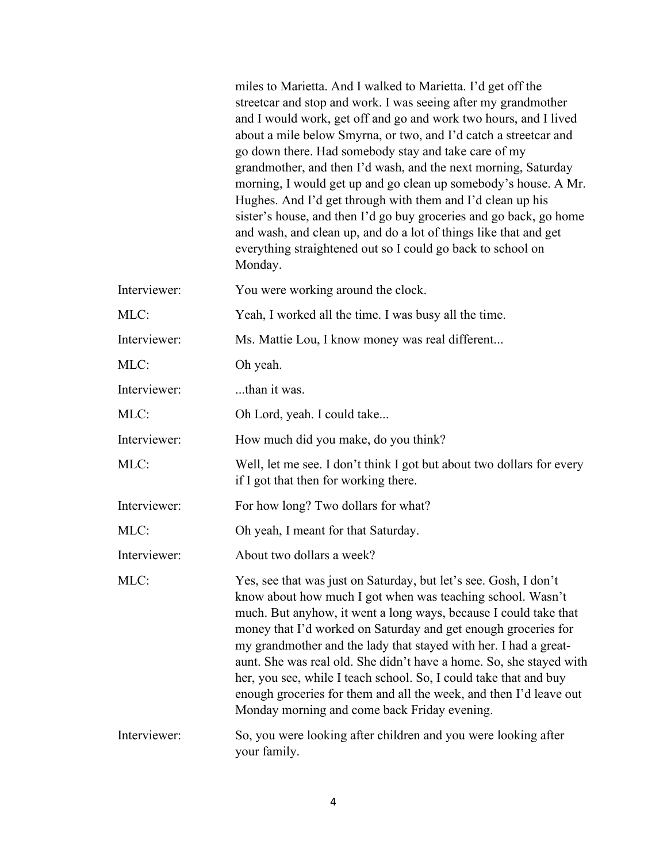|              | miles to Marietta. And I walked to Marietta. I'd get off the<br>streetcar and stop and work. I was seeing after my grandmother<br>and I would work, get off and go and work two hours, and I lived<br>about a mile below Smyrna, or two, and I'd catch a streetcar and<br>go down there. Had somebody stay and take care of my<br>grandmother, and then I'd wash, and the next morning, Saturday<br>morning, I would get up and go clean up somebody's house. A Mr.<br>Hughes. And I'd get through with them and I'd clean up his<br>sister's house, and then I'd go buy groceries and go back, go home<br>and wash, and clean up, and do a lot of things like that and get<br>everything straightened out so I could go back to school on<br>Monday. |
|--------------|-------------------------------------------------------------------------------------------------------------------------------------------------------------------------------------------------------------------------------------------------------------------------------------------------------------------------------------------------------------------------------------------------------------------------------------------------------------------------------------------------------------------------------------------------------------------------------------------------------------------------------------------------------------------------------------------------------------------------------------------------------|
| Interviewer: | You were working around the clock.                                                                                                                                                                                                                                                                                                                                                                                                                                                                                                                                                                                                                                                                                                                    |
| MLC:         | Yeah, I worked all the time. I was busy all the time.                                                                                                                                                                                                                                                                                                                                                                                                                                                                                                                                                                                                                                                                                                 |
| Interviewer: | Ms. Mattie Lou, I know money was real different                                                                                                                                                                                                                                                                                                                                                                                                                                                                                                                                                                                                                                                                                                       |
| MLC:         | Oh yeah.                                                                                                                                                                                                                                                                                                                                                                                                                                                                                                                                                                                                                                                                                                                                              |
| Interviewer: | than it was.                                                                                                                                                                                                                                                                                                                                                                                                                                                                                                                                                                                                                                                                                                                                          |
| MLC:         | Oh Lord, yeah. I could take                                                                                                                                                                                                                                                                                                                                                                                                                                                                                                                                                                                                                                                                                                                           |
| Interviewer: | How much did you make, do you think?                                                                                                                                                                                                                                                                                                                                                                                                                                                                                                                                                                                                                                                                                                                  |
| MLC:         | Well, let me see. I don't think I got but about two dollars for every<br>if I got that then for working there.                                                                                                                                                                                                                                                                                                                                                                                                                                                                                                                                                                                                                                        |
| Interviewer: | For how long? Two dollars for what?                                                                                                                                                                                                                                                                                                                                                                                                                                                                                                                                                                                                                                                                                                                   |
| MLC:         | Oh yeah, I meant for that Saturday.                                                                                                                                                                                                                                                                                                                                                                                                                                                                                                                                                                                                                                                                                                                   |
| Interviewer: | About two dollars a week?                                                                                                                                                                                                                                                                                                                                                                                                                                                                                                                                                                                                                                                                                                                             |
| MLC:         | Yes, see that was just on Saturday, but let's see. Gosh, I don't<br>know about how much I got when was teaching school. Wasn't<br>much. But anyhow, it went a long ways, because I could take that<br>money that I'd worked on Saturday and get enough groceries for<br>my grandmother and the lady that stayed with her. I had a great-<br>aunt. She was real old. She didn't have a home. So, she stayed with<br>her, you see, while I teach school. So, I could take that and buy<br>enough groceries for them and all the week, and then I'd leave out<br>Monday morning and come back Friday evening.                                                                                                                                            |
| Interviewer: | So, you were looking after children and you were looking after<br>your family.                                                                                                                                                                                                                                                                                                                                                                                                                                                                                                                                                                                                                                                                        |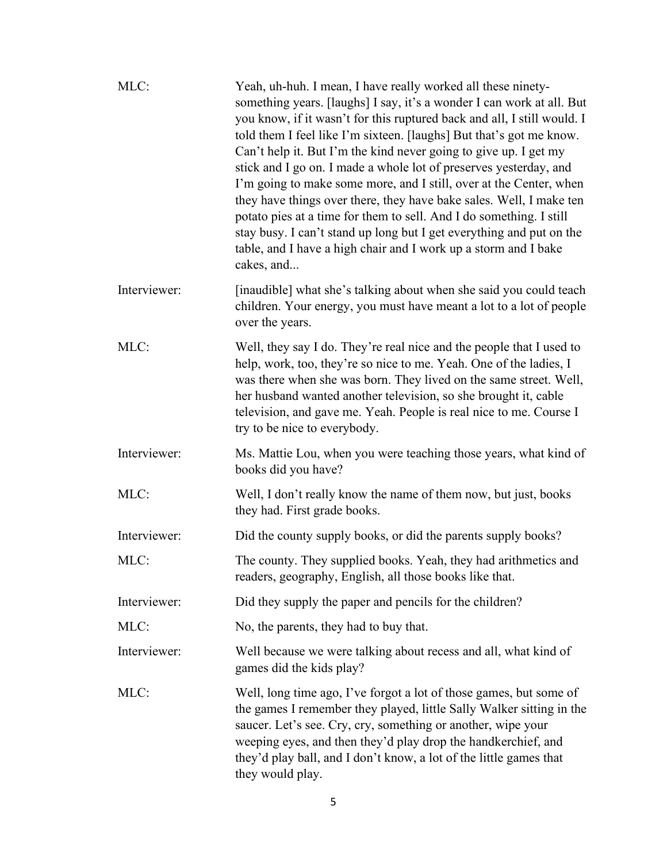| MLC:         | Yeah, uh-huh. I mean, I have really worked all these ninety-<br>something years. [laughs] I say, it's a wonder I can work at all. But<br>you know, if it wasn't for this ruptured back and all, I still would. I<br>told them I feel like I'm sixteen. [laughs] But that's got me know.<br>Can't help it. But I'm the kind never going to give up. I get my<br>stick and I go on. I made a whole lot of preserves yesterday, and<br>I'm going to make some more, and I still, over at the Center, when<br>they have things over there, they have bake sales. Well, I make ten<br>potato pies at a time for them to sell. And I do something. I still<br>stay busy. I can't stand up long but I get everything and put on the<br>table, and I have a high chair and I work up a storm and I bake<br>cakes, and |
|--------------|---------------------------------------------------------------------------------------------------------------------------------------------------------------------------------------------------------------------------------------------------------------------------------------------------------------------------------------------------------------------------------------------------------------------------------------------------------------------------------------------------------------------------------------------------------------------------------------------------------------------------------------------------------------------------------------------------------------------------------------------------------------------------------------------------------------|
| Interviewer: | [inaudible] what she's talking about when she said you could teach<br>children. Your energy, you must have meant a lot to a lot of people<br>over the years.                                                                                                                                                                                                                                                                                                                                                                                                                                                                                                                                                                                                                                                  |
| MLC:         | Well, they say I do. They're real nice and the people that I used to<br>help, work, too, they're so nice to me. Yeah. One of the ladies, I<br>was there when she was born. They lived on the same street. Well,<br>her husband wanted another television, so she brought it, cable<br>television, and gave me. Yeah. People is real nice to me. Course I<br>try to be nice to everybody.                                                                                                                                                                                                                                                                                                                                                                                                                      |
| Interviewer: | Ms. Mattie Lou, when you were teaching those years, what kind of<br>books did you have?                                                                                                                                                                                                                                                                                                                                                                                                                                                                                                                                                                                                                                                                                                                       |
| MLC:         | Well, I don't really know the name of them now, but just, books<br>they had. First grade books.                                                                                                                                                                                                                                                                                                                                                                                                                                                                                                                                                                                                                                                                                                               |
| Interviewer: | Did the county supply books, or did the parents supply books?                                                                                                                                                                                                                                                                                                                                                                                                                                                                                                                                                                                                                                                                                                                                                 |
| MLC:         | The county. They supplied books. Yeah, they had arithmetics and<br>readers, geography, English, all those books like that.                                                                                                                                                                                                                                                                                                                                                                                                                                                                                                                                                                                                                                                                                    |
| Interviewer: | Did they supply the paper and pencils for the children?                                                                                                                                                                                                                                                                                                                                                                                                                                                                                                                                                                                                                                                                                                                                                       |
| MLC:         | No, the parents, they had to buy that.                                                                                                                                                                                                                                                                                                                                                                                                                                                                                                                                                                                                                                                                                                                                                                        |
| Interviewer: | Well because we were talking about recess and all, what kind of<br>games did the kids play?                                                                                                                                                                                                                                                                                                                                                                                                                                                                                                                                                                                                                                                                                                                   |
| MLC:         | Well, long time ago, I've forgot a lot of those games, but some of<br>the games I remember they played, little Sally Walker sitting in the<br>saucer. Let's see. Cry, cry, something or another, wipe your<br>weeping eyes, and then they'd play drop the handkerchief, and<br>they'd play ball, and I don't know, a lot of the little games that<br>they would play.                                                                                                                                                                                                                                                                                                                                                                                                                                         |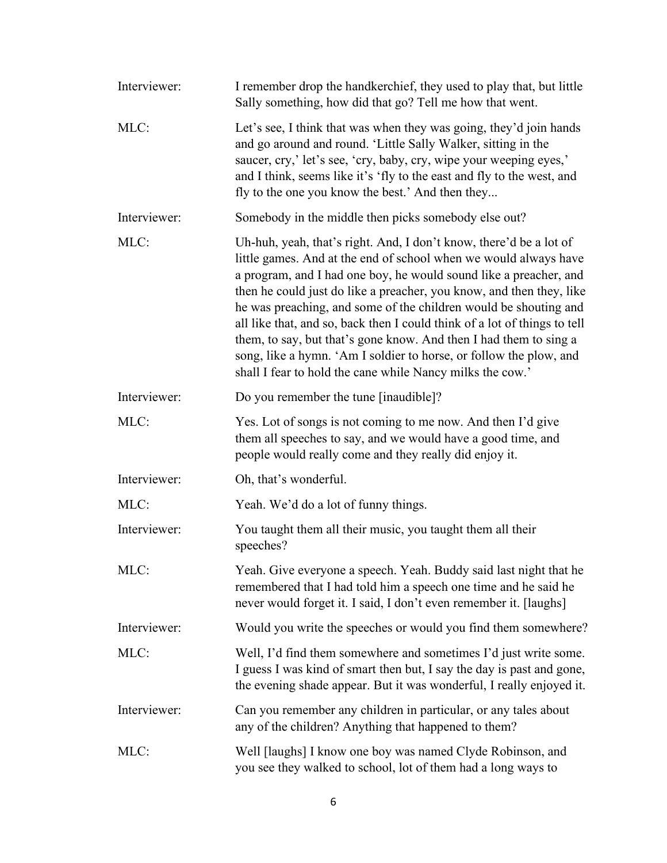| Interviewer: | I remember drop the handkerchief, they used to play that, but little<br>Sally something, how did that go? Tell me how that went.                                                                                                                                                                                                                                                                                                                                                                                                                                                                                                             |
|--------------|----------------------------------------------------------------------------------------------------------------------------------------------------------------------------------------------------------------------------------------------------------------------------------------------------------------------------------------------------------------------------------------------------------------------------------------------------------------------------------------------------------------------------------------------------------------------------------------------------------------------------------------------|
| MLC:         | Let's see, I think that was when they was going, they'd join hands<br>and go around and round. 'Little Sally Walker, sitting in the<br>saucer, cry,' let's see, 'cry, baby, cry, wipe your weeping eyes,'<br>and I think, seems like it's 'fly to the east and fly to the west, and<br>fly to the one you know the best.' And then they                                                                                                                                                                                                                                                                                                      |
| Interviewer: | Somebody in the middle then picks somebody else out?                                                                                                                                                                                                                                                                                                                                                                                                                                                                                                                                                                                         |
| MLC:         | Uh-huh, yeah, that's right. And, I don't know, there'd be a lot of<br>little games. And at the end of school when we would always have<br>a program, and I had one boy, he would sound like a preacher, and<br>then he could just do like a preacher, you know, and then they, like<br>he was preaching, and some of the children would be shouting and<br>all like that, and so, back then I could think of a lot of things to tell<br>them, to say, but that's gone know. And then I had them to sing a<br>song, like a hymn. 'Am I soldier to horse, or follow the plow, and<br>shall I fear to hold the cane while Nancy milks the cow.' |
| Interviewer: | Do you remember the tune [inaudible]?                                                                                                                                                                                                                                                                                                                                                                                                                                                                                                                                                                                                        |
| MLC:         | Yes. Lot of songs is not coming to me now. And then I'd give<br>them all speeches to say, and we would have a good time, and<br>people would really come and they really did enjoy it.                                                                                                                                                                                                                                                                                                                                                                                                                                                       |
| Interviewer: | Oh, that's wonderful.                                                                                                                                                                                                                                                                                                                                                                                                                                                                                                                                                                                                                        |
| MLC:         | Yeah. We'd do a lot of funny things.                                                                                                                                                                                                                                                                                                                                                                                                                                                                                                                                                                                                         |
| Interviewer: | You taught them all their music, you taught them all their<br>speeches?                                                                                                                                                                                                                                                                                                                                                                                                                                                                                                                                                                      |
| MLC:         | Yeah. Give everyone a speech. Yeah. Buddy said last night that he<br>remembered that I had told him a speech one time and he said he<br>never would forget it. I said, I don't even remember it. [laughs]                                                                                                                                                                                                                                                                                                                                                                                                                                    |
| Interviewer: | Would you write the speeches or would you find them somewhere?                                                                                                                                                                                                                                                                                                                                                                                                                                                                                                                                                                               |
| MLC:         | Well, I'd find them somewhere and sometimes I'd just write some.<br>I guess I was kind of smart then but, I say the day is past and gone,<br>the evening shade appear. But it was wonderful, I really enjoyed it.                                                                                                                                                                                                                                                                                                                                                                                                                            |
| Interviewer: | Can you remember any children in particular, or any tales about<br>any of the children? Anything that happened to them?                                                                                                                                                                                                                                                                                                                                                                                                                                                                                                                      |
| MLC:         | Well [laughs] I know one boy was named Clyde Robinson, and<br>you see they walked to school, lot of them had a long ways to                                                                                                                                                                                                                                                                                                                                                                                                                                                                                                                  |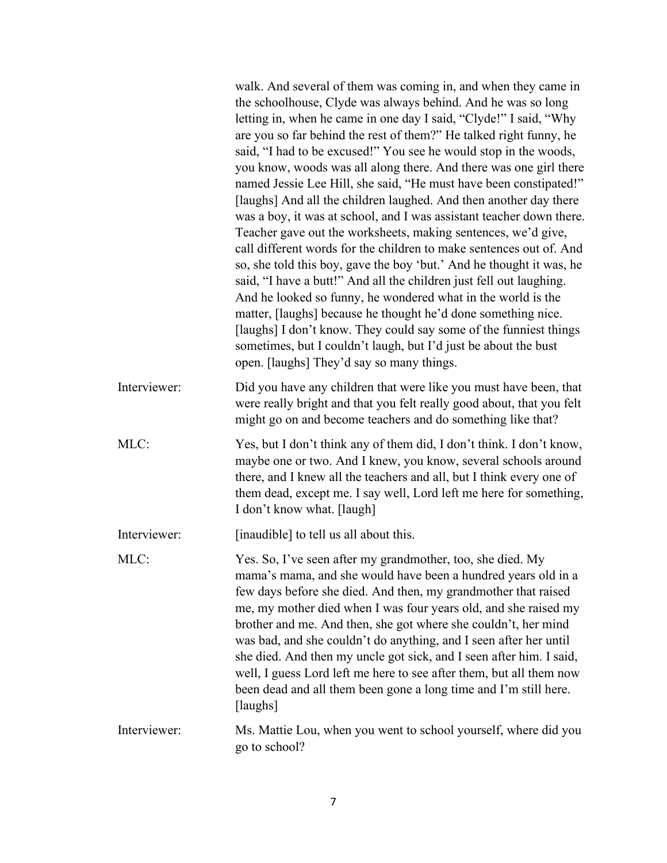|              | walk. And several of them was coming in, and when they came in<br>the schoolhouse, Clyde was always behind. And he was so long<br>letting in, when he came in one day I said, "Clyde!" I said, "Why<br>are you so far behind the rest of them?" He talked right funny, he<br>said, "I had to be excused!" You see he would stop in the woods,<br>you know, woods was all along there. And there was one girl there<br>named Jessie Lee Hill, she said, "He must have been constipated!"<br>[laughs] And all the children laughed. And then another day there<br>was a boy, it was at school, and I was assistant teacher down there.<br>Teacher gave out the worksheets, making sentences, we'd give,<br>call different words for the children to make sentences out of. And<br>so, she told this boy, gave the boy 'but.' And he thought it was, he<br>said, "I have a butt!" And all the children just fell out laughing.<br>And he looked so funny, he wondered what in the world is the<br>matter, [laughs] because he thought he'd done something nice.<br>[laughs] I don't know. They could say some of the funniest things<br>sometimes, but I couldn't laugh, but I'd just be about the bust<br>open. [laughs] They'd say so many things. |
|--------------|---------------------------------------------------------------------------------------------------------------------------------------------------------------------------------------------------------------------------------------------------------------------------------------------------------------------------------------------------------------------------------------------------------------------------------------------------------------------------------------------------------------------------------------------------------------------------------------------------------------------------------------------------------------------------------------------------------------------------------------------------------------------------------------------------------------------------------------------------------------------------------------------------------------------------------------------------------------------------------------------------------------------------------------------------------------------------------------------------------------------------------------------------------------------------------------------------------------------------------------------------|
| Interviewer: | Did you have any children that were like you must have been, that<br>were really bright and that you felt really good about, that you felt<br>might go on and become teachers and do something like that?                                                                                                                                                                                                                                                                                                                                                                                                                                                                                                                                                                                                                                                                                                                                                                                                                                                                                                                                                                                                                                         |
| MLC:         | Yes, but I don't think any of them did, I don't think. I don't know,<br>maybe one or two. And I knew, you know, several schools around<br>there, and I knew all the teachers and all, but I think every one of<br>them dead, except me. I say well, Lord left me here for something,<br>I don't know what. [laugh]                                                                                                                                                                                                                                                                                                                                                                                                                                                                                                                                                                                                                                                                                                                                                                                                                                                                                                                                |
| Interviewer: | [inaudible] to tell us all about this.                                                                                                                                                                                                                                                                                                                                                                                                                                                                                                                                                                                                                                                                                                                                                                                                                                                                                                                                                                                                                                                                                                                                                                                                            |
| MLC:         | Yes. So, I've seen after my grandmother, too, she died. My<br>mama's mama, and she would have been a hundred years old in a<br>few days before she died. And then, my grandmother that raised<br>me, my mother died when I was four years old, and she raised my<br>brother and me. And then, she got where she couldn't, her mind<br>was bad, and she couldn't do anything, and I seen after her until<br>she died. And then my uncle got sick, and I seen after him. I said,<br>well, I guess Lord left me here to see after them, but all them now<br>been dead and all them been gone a long time and I'm still here.<br>[laughs]                                                                                                                                                                                                                                                                                                                                                                                                                                                                                                                                                                                                             |
| Interviewer: | Ms. Mattie Lou, when you went to school yourself, where did you<br>go to school?                                                                                                                                                                                                                                                                                                                                                                                                                                                                                                                                                                                                                                                                                                                                                                                                                                                                                                                                                                                                                                                                                                                                                                  |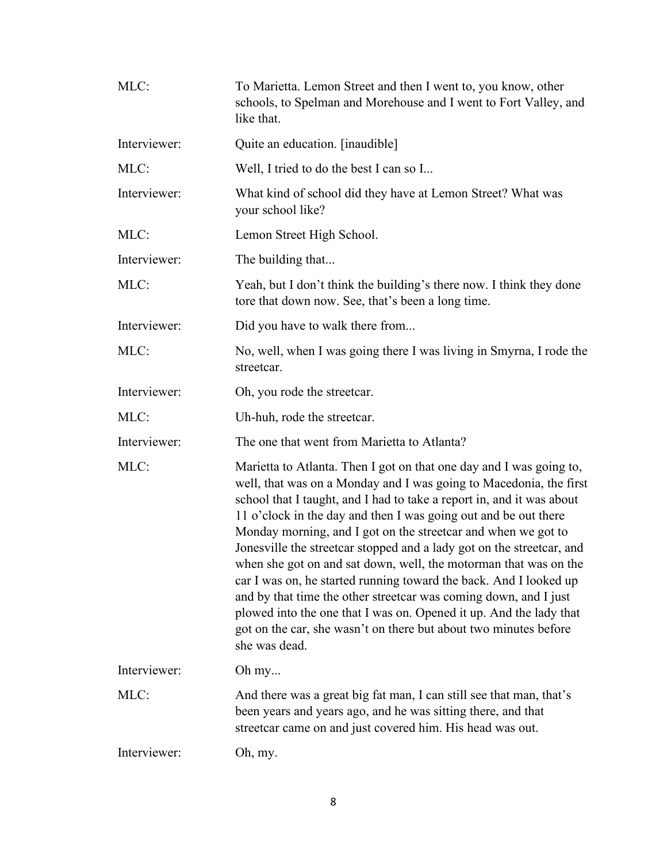| MLC:         | To Marietta. Lemon Street and then I went to, you know, other<br>schools, to Spelman and Morehouse and I went to Fort Valley, and<br>like that.                                                                                                                                                                                                                                                                                                                                                                                                                                                                                                                                                                                                                                                         |
|--------------|---------------------------------------------------------------------------------------------------------------------------------------------------------------------------------------------------------------------------------------------------------------------------------------------------------------------------------------------------------------------------------------------------------------------------------------------------------------------------------------------------------------------------------------------------------------------------------------------------------------------------------------------------------------------------------------------------------------------------------------------------------------------------------------------------------|
| Interviewer: | Quite an education. [inaudible]                                                                                                                                                                                                                                                                                                                                                                                                                                                                                                                                                                                                                                                                                                                                                                         |
| MLC:         | Well, I tried to do the best I can so I                                                                                                                                                                                                                                                                                                                                                                                                                                                                                                                                                                                                                                                                                                                                                                 |
| Interviewer: | What kind of school did they have at Lemon Street? What was<br>your school like?                                                                                                                                                                                                                                                                                                                                                                                                                                                                                                                                                                                                                                                                                                                        |
| MLC:         | Lemon Street High School.                                                                                                                                                                                                                                                                                                                                                                                                                                                                                                                                                                                                                                                                                                                                                                               |
| Interviewer: | The building that                                                                                                                                                                                                                                                                                                                                                                                                                                                                                                                                                                                                                                                                                                                                                                                       |
| MLC:         | Yeah, but I don't think the building's there now. I think they done<br>tore that down now. See, that's been a long time.                                                                                                                                                                                                                                                                                                                                                                                                                                                                                                                                                                                                                                                                                |
| Interviewer: | Did you have to walk there from                                                                                                                                                                                                                                                                                                                                                                                                                                                                                                                                                                                                                                                                                                                                                                         |
| MLC:         | No, well, when I was going there I was living in Smyrna, I rode the<br>streetcar.                                                                                                                                                                                                                                                                                                                                                                                                                                                                                                                                                                                                                                                                                                                       |
| Interviewer: | Oh, you rode the streetcar.                                                                                                                                                                                                                                                                                                                                                                                                                                                                                                                                                                                                                                                                                                                                                                             |
| MLC:         | Uh-huh, rode the streetcar.                                                                                                                                                                                                                                                                                                                                                                                                                                                                                                                                                                                                                                                                                                                                                                             |
| Interviewer: | The one that went from Marietta to Atlanta?                                                                                                                                                                                                                                                                                                                                                                                                                                                                                                                                                                                                                                                                                                                                                             |
| MLC:         | Marietta to Atlanta. Then I got on that one day and I was going to,<br>well, that was on a Monday and I was going to Macedonia, the first<br>school that I taught, and I had to take a report in, and it was about<br>11 o'clock in the day and then I was going out and be out there<br>Monday morning, and I got on the streetcar and when we got to<br>Jonesville the streetcar stopped and a lady got on the streetcar, and<br>when she got on and sat down, well, the motorman that was on the<br>car I was on, he started running toward the back. And I looked up<br>and by that time the other streetcar was coming down, and I just<br>plowed into the one that I was on. Opened it up. And the lady that<br>got on the car, she wasn't on there but about two minutes before<br>she was dead. |
| Interviewer: | Oh my                                                                                                                                                                                                                                                                                                                                                                                                                                                                                                                                                                                                                                                                                                                                                                                                   |
| MLC:         | And there was a great big fat man, I can still see that man, that's<br>been years and years ago, and he was sitting there, and that<br>streetcar came on and just covered him. His head was out.                                                                                                                                                                                                                                                                                                                                                                                                                                                                                                                                                                                                        |
| Interviewer: | Oh, my.                                                                                                                                                                                                                                                                                                                                                                                                                                                                                                                                                                                                                                                                                                                                                                                                 |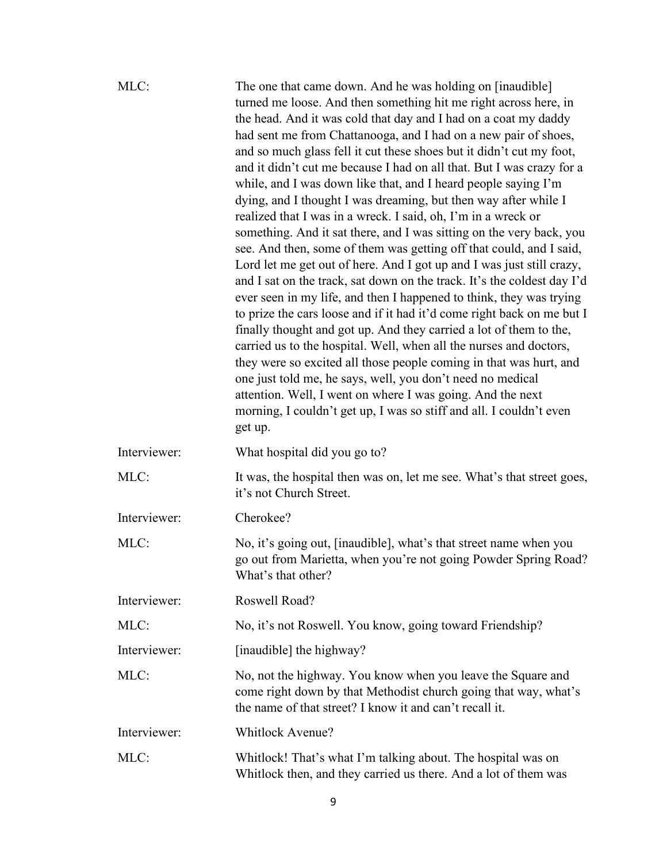| MLC:         | The one that came down. And he was holding on [inaudible]<br>turned me loose. And then something hit me right across here, in<br>the head. And it was cold that day and I had on a coat my daddy<br>had sent me from Chattanooga, and I had on a new pair of shoes,<br>and so much glass fell it cut these shoes but it didn't cut my foot,<br>and it didn't cut me because I had on all that. But I was crazy for a<br>while, and I was down like that, and I heard people saying I'm<br>dying, and I thought I was dreaming, but then way after while I<br>realized that I was in a wreck. I said, oh, I'm in a wreck or<br>something. And it sat there, and I was sitting on the very back, you<br>see. And then, some of them was getting off that could, and I said,<br>Lord let me get out of here. And I got up and I was just still crazy,<br>and I sat on the track, sat down on the track. It's the coldest day I'd<br>ever seen in my life, and then I happened to think, they was trying<br>to prize the cars loose and if it had it'd come right back on me but I<br>finally thought and got up. And they carried a lot of them to the,<br>carried us to the hospital. Well, when all the nurses and doctors,<br>they were so excited all those people coming in that was hurt, and<br>one just told me, he says, well, you don't need no medical<br>attention. Well, I went on where I was going. And the next<br>morning, I couldn't get up, I was so stiff and all. I couldn't even<br>get up. |
|--------------|----------------------------------------------------------------------------------------------------------------------------------------------------------------------------------------------------------------------------------------------------------------------------------------------------------------------------------------------------------------------------------------------------------------------------------------------------------------------------------------------------------------------------------------------------------------------------------------------------------------------------------------------------------------------------------------------------------------------------------------------------------------------------------------------------------------------------------------------------------------------------------------------------------------------------------------------------------------------------------------------------------------------------------------------------------------------------------------------------------------------------------------------------------------------------------------------------------------------------------------------------------------------------------------------------------------------------------------------------------------------------------------------------------------------------------------------------------------------------------------------------------------|
| Interviewer: | What hospital did you go to?                                                                                                                                                                                                                                                                                                                                                                                                                                                                                                                                                                                                                                                                                                                                                                                                                                                                                                                                                                                                                                                                                                                                                                                                                                                                                                                                                                                                                                                                                   |
| MLC:         | It was, the hospital then was on, let me see. What's that street goes,<br>it's not Church Street.                                                                                                                                                                                                                                                                                                                                                                                                                                                                                                                                                                                                                                                                                                                                                                                                                                                                                                                                                                                                                                                                                                                                                                                                                                                                                                                                                                                                              |
| Interviewer: | Cherokee?                                                                                                                                                                                                                                                                                                                                                                                                                                                                                                                                                                                                                                                                                                                                                                                                                                                                                                                                                                                                                                                                                                                                                                                                                                                                                                                                                                                                                                                                                                      |
| MLC:         | No, it's going out, [inaudible], what's that street name when you<br>go out from Marietta, when you're not going Powder Spring Road?<br>What's that other?                                                                                                                                                                                                                                                                                                                                                                                                                                                                                                                                                                                                                                                                                                                                                                                                                                                                                                                                                                                                                                                                                                                                                                                                                                                                                                                                                     |
| Interviewer: | Roswell Road?                                                                                                                                                                                                                                                                                                                                                                                                                                                                                                                                                                                                                                                                                                                                                                                                                                                                                                                                                                                                                                                                                                                                                                                                                                                                                                                                                                                                                                                                                                  |
| MLC:         | No, it's not Roswell. You know, going toward Friendship?                                                                                                                                                                                                                                                                                                                                                                                                                                                                                                                                                                                                                                                                                                                                                                                                                                                                                                                                                                                                                                                                                                                                                                                                                                                                                                                                                                                                                                                       |
| Interviewer: | [inaudible] the highway?                                                                                                                                                                                                                                                                                                                                                                                                                                                                                                                                                                                                                                                                                                                                                                                                                                                                                                                                                                                                                                                                                                                                                                                                                                                                                                                                                                                                                                                                                       |
| MLC:         | No, not the highway. You know when you leave the Square and<br>come right down by that Methodist church going that way, what's<br>the name of that street? I know it and can't recall it.                                                                                                                                                                                                                                                                                                                                                                                                                                                                                                                                                                                                                                                                                                                                                                                                                                                                                                                                                                                                                                                                                                                                                                                                                                                                                                                      |
| Interviewer: | <b>Whitlock Avenue?</b>                                                                                                                                                                                                                                                                                                                                                                                                                                                                                                                                                                                                                                                                                                                                                                                                                                                                                                                                                                                                                                                                                                                                                                                                                                                                                                                                                                                                                                                                                        |
| MLC:         | Whitlock! That's what I'm talking about. The hospital was on<br>Whitlock then, and they carried us there. And a lot of them was                                                                                                                                                                                                                                                                                                                                                                                                                                                                                                                                                                                                                                                                                                                                                                                                                                                                                                                                                                                                                                                                                                                                                                                                                                                                                                                                                                                |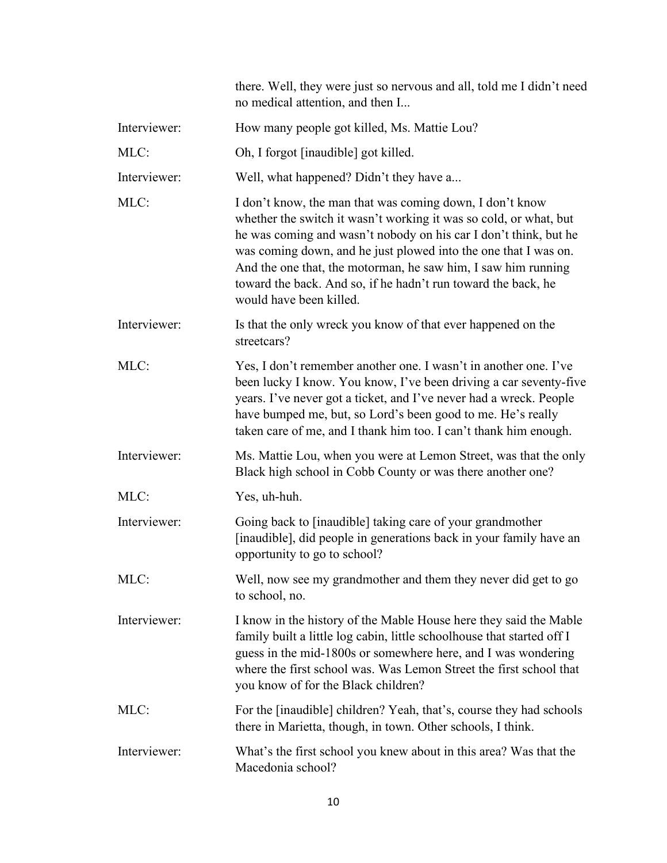|              | there. Well, they were just so nervous and all, told me I didn't need<br>no medical attention, and then I                                                                                                                                                                                                                                                                                                                         |
|--------------|-----------------------------------------------------------------------------------------------------------------------------------------------------------------------------------------------------------------------------------------------------------------------------------------------------------------------------------------------------------------------------------------------------------------------------------|
| Interviewer: | How many people got killed, Ms. Mattie Lou?                                                                                                                                                                                                                                                                                                                                                                                       |
| MLC:         | Oh, I forgot [inaudible] got killed.                                                                                                                                                                                                                                                                                                                                                                                              |
| Interviewer: | Well, what happened? Didn't they have a                                                                                                                                                                                                                                                                                                                                                                                           |
| MLC:         | I don't know, the man that was coming down, I don't know<br>whether the switch it wasn't working it was so cold, or what, but<br>he was coming and wasn't nobody on his car I don't think, but he<br>was coming down, and he just plowed into the one that I was on.<br>And the one that, the motorman, he saw him, I saw him running<br>toward the back. And so, if he hadn't run toward the back, he<br>would have been killed. |
| Interviewer: | Is that the only wreck you know of that ever happened on the<br>streetcars?                                                                                                                                                                                                                                                                                                                                                       |
| MLC:         | Yes, I don't remember another one. I wasn't in another one. I've<br>been lucky I know. You know, I've been driving a car seventy-five<br>years. I've never got a ticket, and I've never had a wreck. People<br>have bumped me, but, so Lord's been good to me. He's really<br>taken care of me, and I thank him too. I can't thank him enough.                                                                                    |
| Interviewer: | Ms. Mattie Lou, when you were at Lemon Street, was that the only<br>Black high school in Cobb County or was there another one?                                                                                                                                                                                                                                                                                                    |
| MLC:         | Yes, uh-huh.                                                                                                                                                                                                                                                                                                                                                                                                                      |
| Interviewer: | Going back to [inaudible] taking care of your grandmother<br>[inaudible], did people in generations back in your family have an<br>opportunity to go to school?                                                                                                                                                                                                                                                                   |
| MLC:         | Well, now see my grandmother and them they never did get to go<br>to school, no.                                                                                                                                                                                                                                                                                                                                                  |
| Interviewer: | I know in the history of the Mable House here they said the Mable<br>family built a little log cabin, little schoolhouse that started off I<br>guess in the mid-1800s or somewhere here, and I was wondering<br>where the first school was. Was Lemon Street the first school that<br>you know of for the Black children?                                                                                                         |
| MLC:         | For the [inaudible] children? Yeah, that's, course they had schools<br>there in Marietta, though, in town. Other schools, I think.                                                                                                                                                                                                                                                                                                |
| Interviewer: | What's the first school you knew about in this area? Was that the<br>Macedonia school?                                                                                                                                                                                                                                                                                                                                            |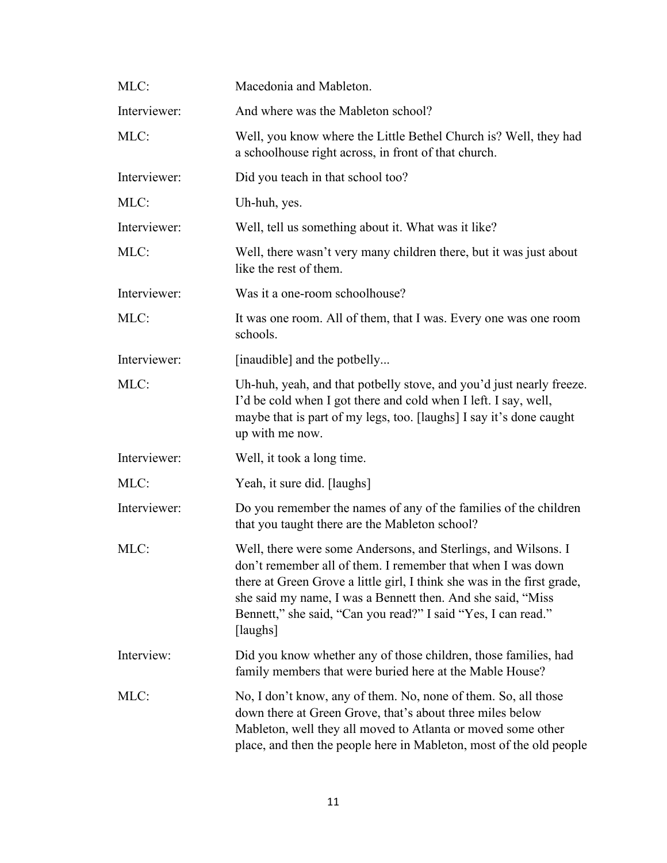| MLC:         | Macedonia and Mableton.                                                                                                                                                                                                                                                                                                                              |
|--------------|------------------------------------------------------------------------------------------------------------------------------------------------------------------------------------------------------------------------------------------------------------------------------------------------------------------------------------------------------|
| Interviewer: | And where was the Mableton school?                                                                                                                                                                                                                                                                                                                   |
| MLC:         | Well, you know where the Little Bethel Church is? Well, they had<br>a schoolhouse right across, in front of that church.                                                                                                                                                                                                                             |
| Interviewer: | Did you teach in that school too?                                                                                                                                                                                                                                                                                                                    |
| MLC:         | Uh-huh, yes.                                                                                                                                                                                                                                                                                                                                         |
| Interviewer: | Well, tell us something about it. What was it like?                                                                                                                                                                                                                                                                                                  |
| MLC:         | Well, there wasn't very many children there, but it was just about<br>like the rest of them.                                                                                                                                                                                                                                                         |
| Interviewer: | Was it a one-room schoolhouse?                                                                                                                                                                                                                                                                                                                       |
| MLC:         | It was one room. All of them, that I was. Every one was one room<br>schools.                                                                                                                                                                                                                                                                         |
| Interviewer: | [inaudible] and the potbelly                                                                                                                                                                                                                                                                                                                         |
| MLC:         | Uh-huh, yeah, and that potbelly stove, and you'd just nearly freeze.<br>I'd be cold when I got there and cold when I left. I say, well,<br>maybe that is part of my legs, too. [laughs] I say it's done caught<br>up with me now.                                                                                                                    |
| Interviewer: | Well, it took a long time.                                                                                                                                                                                                                                                                                                                           |
| MLC:         | Yeah, it sure did. [laughs]                                                                                                                                                                                                                                                                                                                          |
| Interviewer: | Do you remember the names of any of the families of the children<br>that you taught there are the Mableton school?                                                                                                                                                                                                                                   |
| MLC:         | Well, there were some Andersons, and Sterlings, and Wilsons. I<br>don't remember all of them. I remember that when I was down<br>there at Green Grove a little girl, I think she was in the first grade,<br>she said my name, I was a Bennett then. And she said, "Miss<br>Bennett," she said, "Can you read?" I said "Yes, I can read."<br>[laughs] |
| Interview:   | Did you know whether any of those children, those families, had<br>family members that were buried here at the Mable House?                                                                                                                                                                                                                          |
| MLC:         | No, I don't know, any of them. No, none of them. So, all those<br>down there at Green Grove, that's about three miles below<br>Mableton, well they all moved to Atlanta or moved some other<br>place, and then the people here in Mableton, most of the old people                                                                                   |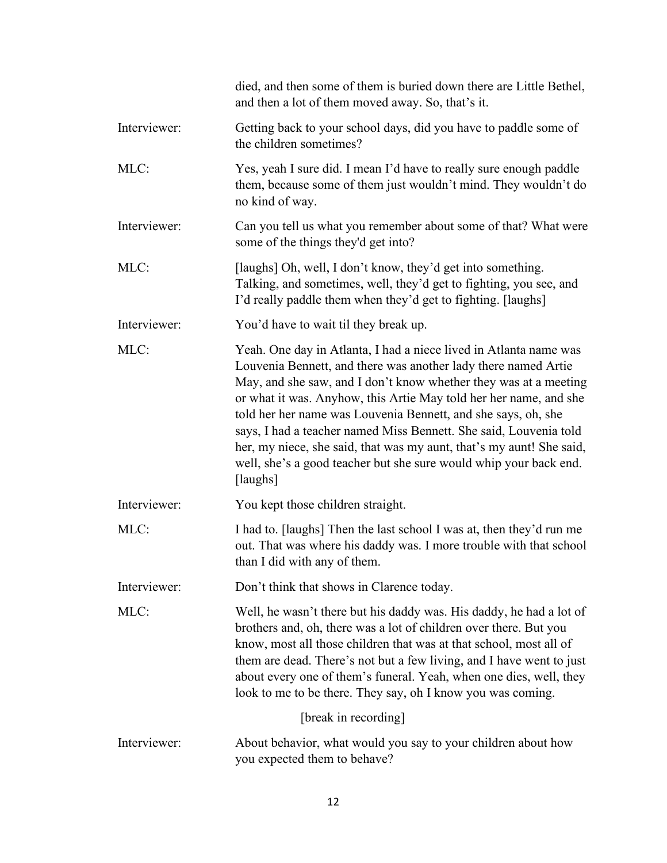|              | died, and then some of them is buried down there are Little Bethel,<br>and then a lot of them moved away. So, that's it.                                                                                                                                                                                                                                                                                                                                                                                                                                                    |
|--------------|-----------------------------------------------------------------------------------------------------------------------------------------------------------------------------------------------------------------------------------------------------------------------------------------------------------------------------------------------------------------------------------------------------------------------------------------------------------------------------------------------------------------------------------------------------------------------------|
| Interviewer: | Getting back to your school days, did you have to paddle some of<br>the children sometimes?                                                                                                                                                                                                                                                                                                                                                                                                                                                                                 |
| MLC:         | Yes, yeah I sure did. I mean I'd have to really sure enough paddle<br>them, because some of them just wouldn't mind. They wouldn't do<br>no kind of way.                                                                                                                                                                                                                                                                                                                                                                                                                    |
| Interviewer: | Can you tell us what you remember about some of that? What were<br>some of the things they'd get into?                                                                                                                                                                                                                                                                                                                                                                                                                                                                      |
| MLC:         | [laughs] Oh, well, I don't know, they'd get into something.<br>Talking, and sometimes, well, they'd get to fighting, you see, and<br>I'd really paddle them when they'd get to fighting. [laughs]                                                                                                                                                                                                                                                                                                                                                                           |
| Interviewer: | You'd have to wait til they break up.                                                                                                                                                                                                                                                                                                                                                                                                                                                                                                                                       |
| MLC:         | Yeah. One day in Atlanta, I had a niece lived in Atlanta name was<br>Louvenia Bennett, and there was another lady there named Artie<br>May, and she saw, and I don't know whether they was at a meeting<br>or what it was. Anyhow, this Artie May told her her name, and she<br>told her her name was Louvenia Bennett, and she says, oh, she<br>says, I had a teacher named Miss Bennett. She said, Louvenia told<br>her, my niece, she said, that was my aunt, that's my aunt! She said,<br>well, she's a good teacher but she sure would whip your back end.<br>[laughs] |
| Interviewer: | You kept those children straight.                                                                                                                                                                                                                                                                                                                                                                                                                                                                                                                                           |
| MLC:         | I had to. [laughs] Then the last school I was at, then they'd run me<br>out. That was where his daddy was. I more trouble with that school<br>than I did with any of them.                                                                                                                                                                                                                                                                                                                                                                                                  |
| Interviewer: | Don't think that shows in Clarence today.                                                                                                                                                                                                                                                                                                                                                                                                                                                                                                                                   |
| MLC:         | Well, he wasn't there but his daddy was. His daddy, he had a lot of<br>brothers and, oh, there was a lot of children over there. But you<br>know, most all those children that was at that school, most all of<br>them are dead. There's not but a few living, and I have went to just<br>about every one of them's funeral. Yeah, when one dies, well, they<br>look to me to be there. They say, oh I know you was coming.                                                                                                                                                 |
|              | [break in recording]                                                                                                                                                                                                                                                                                                                                                                                                                                                                                                                                                        |
| Interviewer: | About behavior, what would you say to your children about how<br>you expected them to behave?                                                                                                                                                                                                                                                                                                                                                                                                                                                                               |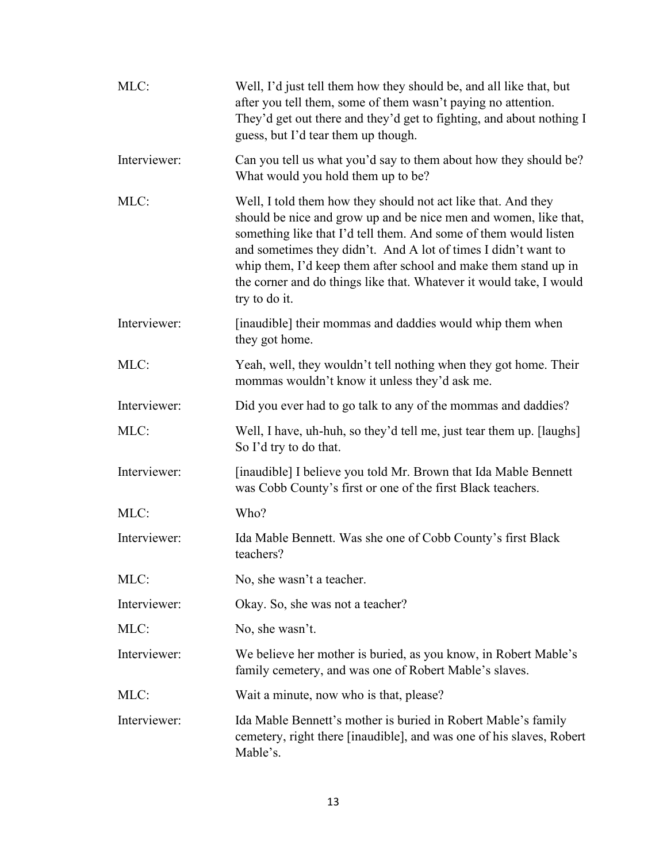| MLC:         | Well, I'd just tell them how they should be, and all like that, but<br>after you tell them, some of them wasn't paying no attention.<br>They'd get out there and they'd get to fighting, and about nothing I<br>guess, but I'd tear them up though.                                                                                                                                                                                |
|--------------|------------------------------------------------------------------------------------------------------------------------------------------------------------------------------------------------------------------------------------------------------------------------------------------------------------------------------------------------------------------------------------------------------------------------------------|
| Interviewer: | Can you tell us what you'd say to them about how they should be?<br>What would you hold them up to be?                                                                                                                                                                                                                                                                                                                             |
| MLC:         | Well, I told them how they should not act like that. And they<br>should be nice and grow up and be nice men and women, like that,<br>something like that I'd tell them. And some of them would listen<br>and sometimes they didn't. And A lot of times I didn't want to<br>whip them, I'd keep them after school and make them stand up in<br>the corner and do things like that. Whatever it would take, I would<br>try to do it. |
| Interviewer: | [inaudible] their mommas and daddies would whip them when<br>they got home.                                                                                                                                                                                                                                                                                                                                                        |
| MLC:         | Yeah, well, they wouldn't tell nothing when they got home. Their<br>mommas wouldn't know it unless they'd ask me.                                                                                                                                                                                                                                                                                                                  |
| Interviewer: | Did you ever had to go talk to any of the mommas and daddies?                                                                                                                                                                                                                                                                                                                                                                      |
| MLC:         | Well, I have, uh-huh, so they'd tell me, just tear them up. [laughs]<br>So I'd try to do that.                                                                                                                                                                                                                                                                                                                                     |
| Interviewer: | [inaudible] I believe you told Mr. Brown that Ida Mable Bennett<br>was Cobb County's first or one of the first Black teachers.                                                                                                                                                                                                                                                                                                     |
| MLC:         | Who?                                                                                                                                                                                                                                                                                                                                                                                                                               |
| Interviewer: | Ida Mable Bennett. Was she one of Cobb County's first Black<br>teachers?                                                                                                                                                                                                                                                                                                                                                           |
| MLC:         | No, she wasn't a teacher.                                                                                                                                                                                                                                                                                                                                                                                                          |
| Interviewer: | Okay. So, she was not a teacher?                                                                                                                                                                                                                                                                                                                                                                                                   |
| MLC:         | No, she wasn't.                                                                                                                                                                                                                                                                                                                                                                                                                    |
| Interviewer: | We believe her mother is buried, as you know, in Robert Mable's<br>family cemetery, and was one of Robert Mable's slaves.                                                                                                                                                                                                                                                                                                          |
| MLC:         | Wait a minute, now who is that, please?                                                                                                                                                                                                                                                                                                                                                                                            |
| Interviewer: | Ida Mable Bennett's mother is buried in Robert Mable's family<br>cemetery, right there [inaudible], and was one of his slaves, Robert<br>Mable's.                                                                                                                                                                                                                                                                                  |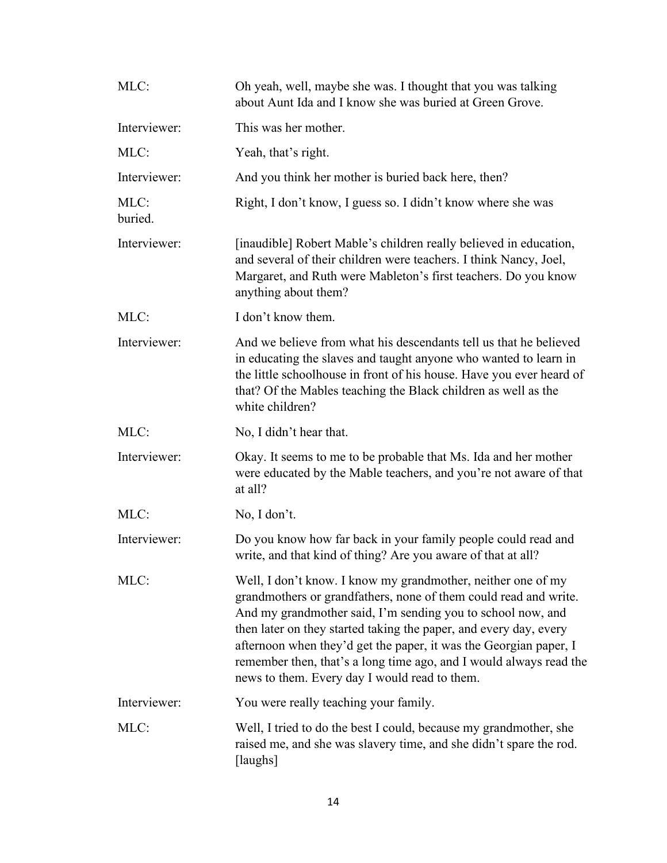| MLC:            | Oh yeah, well, maybe she was. I thought that you was talking<br>about Aunt Ida and I know she was buried at Green Grove.                                                                                                                                                                                                                                                                                                                                         |
|-----------------|------------------------------------------------------------------------------------------------------------------------------------------------------------------------------------------------------------------------------------------------------------------------------------------------------------------------------------------------------------------------------------------------------------------------------------------------------------------|
| Interviewer:    | This was her mother.                                                                                                                                                                                                                                                                                                                                                                                                                                             |
| MLC:            | Yeah, that's right.                                                                                                                                                                                                                                                                                                                                                                                                                                              |
| Interviewer:    | And you think her mother is buried back here, then?                                                                                                                                                                                                                                                                                                                                                                                                              |
| MLC:<br>buried. | Right, I don't know, I guess so. I didn't know where she was                                                                                                                                                                                                                                                                                                                                                                                                     |
| Interviewer:    | [inaudible] Robert Mable's children really believed in education,<br>and several of their children were teachers. I think Nancy, Joel,<br>Margaret, and Ruth were Mableton's first teachers. Do you know<br>anything about them?                                                                                                                                                                                                                                 |
| MLC:            | I don't know them.                                                                                                                                                                                                                                                                                                                                                                                                                                               |
| Interviewer:    | And we believe from what his descendants tell us that he believed<br>in educating the slaves and taught anyone who wanted to learn in<br>the little schoolhouse in front of his house. Have you ever heard of<br>that? Of the Mables teaching the Black children as well as the<br>white children?                                                                                                                                                               |
| MLC:            | No, I didn't hear that.                                                                                                                                                                                                                                                                                                                                                                                                                                          |
| Interviewer:    | Okay. It seems to me to be probable that Ms. Ida and her mother<br>were educated by the Mable teachers, and you're not aware of that<br>at all?                                                                                                                                                                                                                                                                                                                  |
| MLC:            | No, I don't.                                                                                                                                                                                                                                                                                                                                                                                                                                                     |
| Interviewer:    | Do you know how far back in your family people could read and<br>write, and that kind of thing? Are you aware of that at all?                                                                                                                                                                                                                                                                                                                                    |
| MLC:            | Well, I don't know. I know my grandmother, neither one of my<br>grandmothers or grandfathers, none of them could read and write.<br>And my grandmother said, I'm sending you to school now, and<br>then later on they started taking the paper, and every day, every<br>afternoon when they'd get the paper, it was the Georgian paper, I<br>remember then, that's a long time ago, and I would always read the<br>news to them. Every day I would read to them. |
| Interviewer:    | You were really teaching your family.                                                                                                                                                                                                                                                                                                                                                                                                                            |
| MLC:            | Well, I tried to do the best I could, because my grand mother, she<br>raised me, and she was slavery time, and she didn't spare the rod.<br>[laughs]                                                                                                                                                                                                                                                                                                             |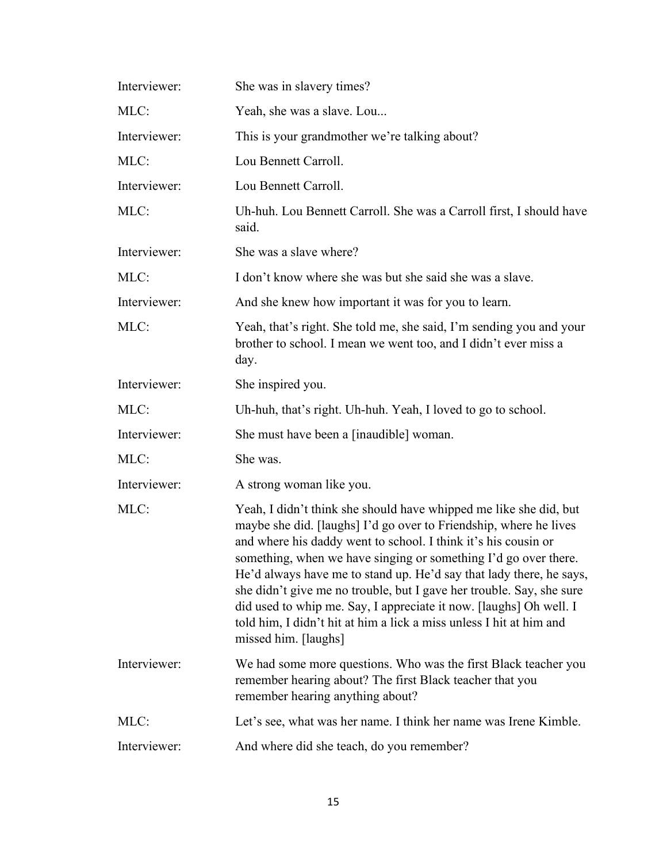| Interviewer: | She was in slavery times?                                                                                                                                                                                                                                                                                                                                                                                                                                                                                                                                                                       |
|--------------|-------------------------------------------------------------------------------------------------------------------------------------------------------------------------------------------------------------------------------------------------------------------------------------------------------------------------------------------------------------------------------------------------------------------------------------------------------------------------------------------------------------------------------------------------------------------------------------------------|
| MLC:         | Yeah, she was a slave. Lou                                                                                                                                                                                                                                                                                                                                                                                                                                                                                                                                                                      |
| Interviewer: | This is your grandmother we're talking about?                                                                                                                                                                                                                                                                                                                                                                                                                                                                                                                                                   |
| MLC:         | Lou Bennett Carroll.                                                                                                                                                                                                                                                                                                                                                                                                                                                                                                                                                                            |
| Interviewer: | Lou Bennett Carroll.                                                                                                                                                                                                                                                                                                                                                                                                                                                                                                                                                                            |
| MLC:         | Uh-huh. Lou Bennett Carroll. She was a Carroll first, I should have<br>said.                                                                                                                                                                                                                                                                                                                                                                                                                                                                                                                    |
| Interviewer: | She was a slave where?                                                                                                                                                                                                                                                                                                                                                                                                                                                                                                                                                                          |
| MLC:         | I don't know where she was but she said she was a slave.                                                                                                                                                                                                                                                                                                                                                                                                                                                                                                                                        |
| Interviewer: | And she knew how important it was for you to learn.                                                                                                                                                                                                                                                                                                                                                                                                                                                                                                                                             |
| MLC:         | Yeah, that's right. She told me, she said, I'm sending you and your<br>brother to school. I mean we went too, and I didn't ever miss a<br>day.                                                                                                                                                                                                                                                                                                                                                                                                                                                  |
| Interviewer: | She inspired you.                                                                                                                                                                                                                                                                                                                                                                                                                                                                                                                                                                               |
| MLC:         | Uh-huh, that's right. Uh-huh. Yeah, I loved to go to school.                                                                                                                                                                                                                                                                                                                                                                                                                                                                                                                                    |
| Interviewer: | She must have been a [inaudible] woman.                                                                                                                                                                                                                                                                                                                                                                                                                                                                                                                                                         |
| MLC:         | She was.                                                                                                                                                                                                                                                                                                                                                                                                                                                                                                                                                                                        |
| Interviewer: | A strong woman like you.                                                                                                                                                                                                                                                                                                                                                                                                                                                                                                                                                                        |
| MLC:         | Yeah, I didn't think she should have whipped me like she did, but<br>maybe she did. [laughs] I'd go over to Friendship, where he lives<br>and where his daddy went to school. I think it's his cousin or<br>something, when we have singing or something I'd go over there.<br>He'd always have me to stand up. He'd say that lady there, he says,<br>she didn't give me no trouble, but I gave her trouble. Say, she sure<br>did used to whip me. Say, I appreciate it now. [laughs] Oh well. I<br>told him, I didn't hit at him a lick a miss unless I hit at him and<br>missed him. [laughs] |
| Interviewer: | We had some more questions. Who was the first Black teacher you<br>remember hearing about? The first Black teacher that you<br>remember hearing anything about?                                                                                                                                                                                                                                                                                                                                                                                                                                 |
| MLC:         | Let's see, what was her name. I think her name was Irene Kimble.                                                                                                                                                                                                                                                                                                                                                                                                                                                                                                                                |
| Interviewer: | And where did she teach, do you remember?                                                                                                                                                                                                                                                                                                                                                                                                                                                                                                                                                       |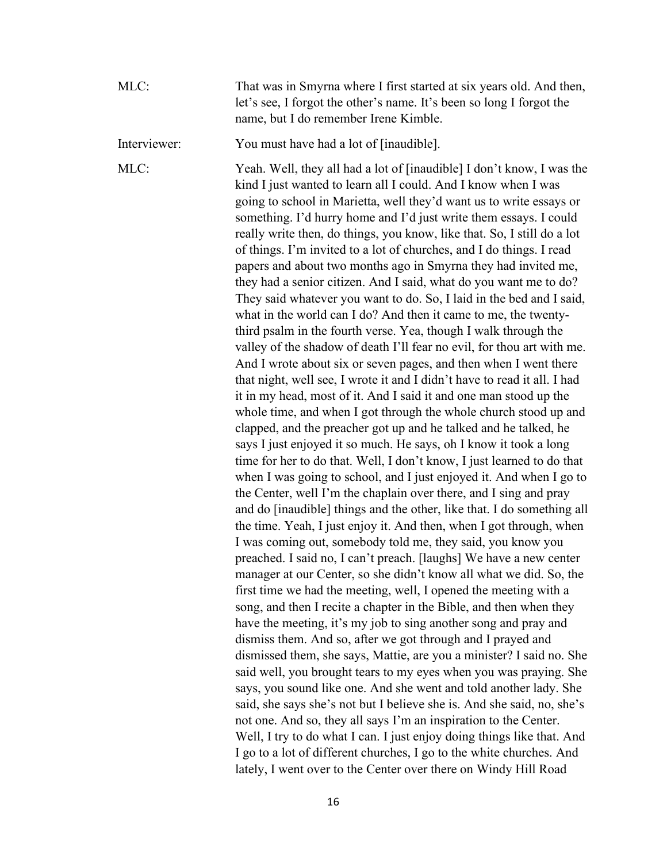| MLC:         | That was in Smyrna where I first started at six years old. And then,<br>let's see, I forgot the other's name. It's been so long I forgot the<br>name, but I do remember Irene Kimble.                                                                                                                                                                                                                                                                                                                                                                                                                                                                                                                                                                                                                                                                                                                                                                                                                                                                                                                                                                                                                                                                                                                                                                                                                                                                                                                                                                                                                                                                                                                                                                                                                                                                                                                                                                                                                                                                                                                                                                                                                                                                                                                                                                                                                                                                                                                                                                                                                                                                                                                                                                      |
|--------------|------------------------------------------------------------------------------------------------------------------------------------------------------------------------------------------------------------------------------------------------------------------------------------------------------------------------------------------------------------------------------------------------------------------------------------------------------------------------------------------------------------------------------------------------------------------------------------------------------------------------------------------------------------------------------------------------------------------------------------------------------------------------------------------------------------------------------------------------------------------------------------------------------------------------------------------------------------------------------------------------------------------------------------------------------------------------------------------------------------------------------------------------------------------------------------------------------------------------------------------------------------------------------------------------------------------------------------------------------------------------------------------------------------------------------------------------------------------------------------------------------------------------------------------------------------------------------------------------------------------------------------------------------------------------------------------------------------------------------------------------------------------------------------------------------------------------------------------------------------------------------------------------------------------------------------------------------------------------------------------------------------------------------------------------------------------------------------------------------------------------------------------------------------------------------------------------------------------------------------------------------------------------------------------------------------------------------------------------------------------------------------------------------------------------------------------------------------------------------------------------------------------------------------------------------------------------------------------------------------------------------------------------------------------------------------------------------------------------------------------------------------|
| Interviewer: | You must have had a lot of [inaudible].                                                                                                                                                                                                                                                                                                                                                                                                                                                                                                                                                                                                                                                                                                                                                                                                                                                                                                                                                                                                                                                                                                                                                                                                                                                                                                                                                                                                                                                                                                                                                                                                                                                                                                                                                                                                                                                                                                                                                                                                                                                                                                                                                                                                                                                                                                                                                                                                                                                                                                                                                                                                                                                                                                                    |
| MLC:         | Yeah. Well, they all had a lot of [inaudible] I don't know, I was the<br>kind I just wanted to learn all I could. And I know when I was<br>going to school in Marietta, well they'd want us to write essays or<br>something. I'd hurry home and I'd just write them essays. I could<br>really write then, do things, you know, like that. So, I still do a lot<br>of things. I'm invited to a lot of churches, and I do things. I read<br>papers and about two months ago in Smyrna they had invited me,<br>they had a senior citizen. And I said, what do you want me to do?<br>They said whatever you want to do. So, I laid in the bed and I said,<br>what in the world can I do? And then it came to me, the twenty-<br>third psalm in the fourth verse. Yea, though I walk through the<br>valley of the shadow of death I'll fear no evil, for thou art with me.<br>And I wrote about six or seven pages, and then when I went there<br>that night, well see, I wrote it and I didn't have to read it all. I had<br>it in my head, most of it. And I said it and one man stood up the<br>whole time, and when I got through the whole church stood up and<br>clapped, and the preacher got up and he talked and he talked, he<br>says I just enjoyed it so much. He says, oh I know it took a long<br>time for her to do that. Well, I don't know, I just learned to do that<br>when I was going to school, and I just enjoyed it. And when I go to<br>the Center, well I'm the chaplain over there, and I sing and pray<br>and do [inaudible] things and the other, like that. I do something all<br>the time. Yeah, I just enjoy it. And then, when I got through, when<br>I was coming out, somebody told me, they said, you know you<br>preached. I said no, I can't preach. [laughs] We have a new center<br>manager at our Center, so she didn't know all what we did. So, the<br>first time we had the meeting, well, I opened the meeting with a<br>song, and then I recite a chapter in the Bible, and then when they<br>have the meeting, it's my job to sing another song and pray and<br>dismiss them. And so, after we got through and I prayed and<br>dismissed them, she says, Mattie, are you a minister? I said no. She<br>said well, you brought tears to my eyes when you was praying. She<br>says, you sound like one. And she went and told another lady. She<br>said, she says she's not but I believe she is. And she said, no, she's<br>not one. And so, they all says I'm an inspiration to the Center.<br>Well, I try to do what I can. I just enjoy doing things like that. And<br>I go to a lot of different churches, I go to the white churches. And<br>lately, I went over to the Center over there on Windy Hill Road |
|              |                                                                                                                                                                                                                                                                                                                                                                                                                                                                                                                                                                                                                                                                                                                                                                                                                                                                                                                                                                                                                                                                                                                                                                                                                                                                                                                                                                                                                                                                                                                                                                                                                                                                                                                                                                                                                                                                                                                                                                                                                                                                                                                                                                                                                                                                                                                                                                                                                                                                                                                                                                                                                                                                                                                                                            |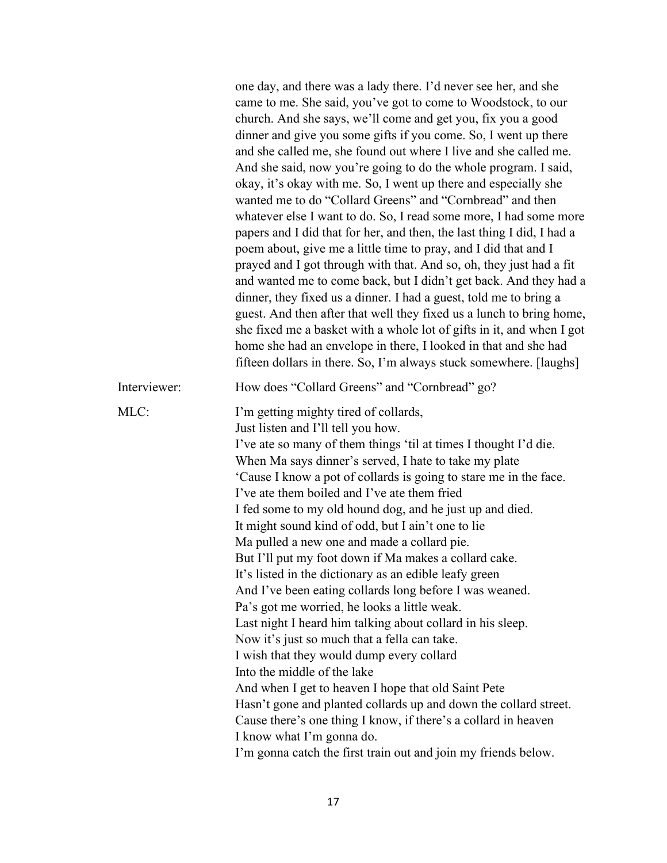|              | one day, and there was a lady there. I'd never see her, and she<br>came to me. She said, you've got to come to Woodstock, to our<br>church. And she says, we'll come and get you, fix you a good<br>dinner and give you some gifts if you come. So, I went up there<br>and she called me, she found out where I live and she called me.<br>And she said, now you're going to do the whole program. I said,<br>okay, it's okay with me. So, I went up there and especially she<br>wanted me to do "Collard Greens" and "Cornbread" and then<br>whatever else I want to do. So, I read some more, I had some more<br>papers and I did that for her, and then, the last thing I did, I had a<br>poem about, give me a little time to pray, and I did that and I<br>prayed and I got through with that. And so, oh, they just had a fit<br>and wanted me to come back, but I didn't get back. And they had a<br>dinner, they fixed us a dinner. I had a guest, told me to bring a<br>guest. And then after that well they fixed us a lunch to bring home,<br>she fixed me a basket with a whole lot of gifts in it, and when I got<br>home she had an envelope in there, I looked in that and she had<br>fifteen dollars in there. So, I'm always stuck somewhere. [laughs] |
|--------------|-------------------------------------------------------------------------------------------------------------------------------------------------------------------------------------------------------------------------------------------------------------------------------------------------------------------------------------------------------------------------------------------------------------------------------------------------------------------------------------------------------------------------------------------------------------------------------------------------------------------------------------------------------------------------------------------------------------------------------------------------------------------------------------------------------------------------------------------------------------------------------------------------------------------------------------------------------------------------------------------------------------------------------------------------------------------------------------------------------------------------------------------------------------------------------------------------------------------------------------------------------------------------|
| Interviewer: | How does "Collard Greens" and "Cornbread" go?                                                                                                                                                                                                                                                                                                                                                                                                                                                                                                                                                                                                                                                                                                                                                                                                                                                                                                                                                                                                                                                                                                                                                                                                                           |
| MLC:         | I'm getting mighty tired of collards,<br>Just listen and I'll tell you how.<br>I've ate so many of them things 'til at times I thought I'd die.<br>When Ma says dinner's served, I hate to take my plate<br>'Cause I know a pot of collards is going to stare me in the face.<br>I've ate them boiled and I've ate them fried<br>I fed some to my old hound dog, and he just up and died.<br>It might sound kind of odd, but I ain't one to lie<br>Ma pulled a new one and made a collard pie.<br>But I'll put my foot down if Ma makes a collard cake.<br>It's listed in the dictionary as an edible leafy green<br>And I've been eating collards long before I was weaned.<br>Pa's got me worried, he looks a little weak.<br>Last night I heard him talking about collard in his sleep.<br>Now it's just so much that a fella can take.<br>I wish that they would dump every collard<br>Into the middle of the lake<br>And when I get to heaven I hope that old Saint Pete<br>Hasn't gone and planted collards up and down the collard street.<br>Cause there's one thing I know, if there's a collard in heaven<br>I know what I'm gonna do.<br>I'm gonna catch the first train out and join my friends below.                                                      |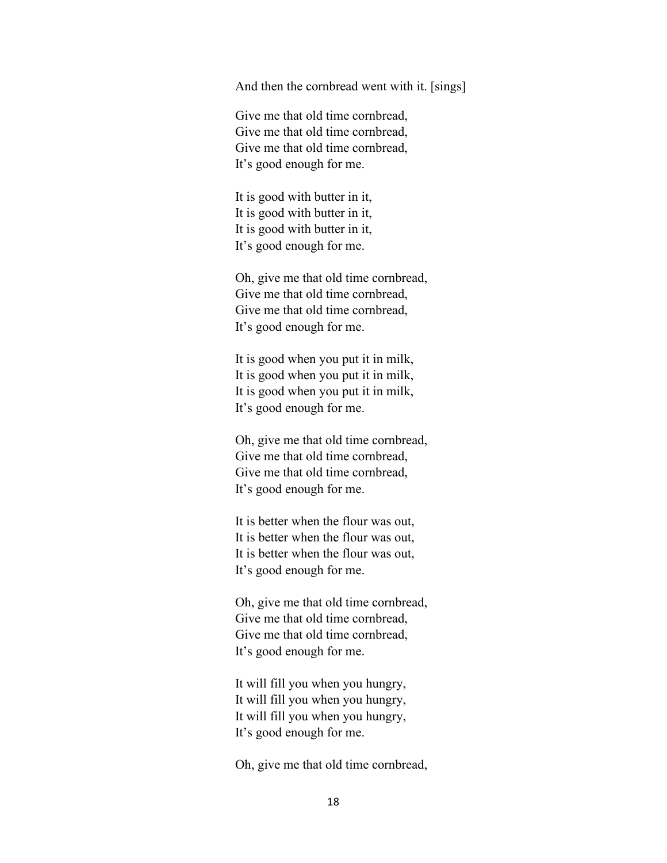And then the cornbread went with it. [sings]

Give me that old time cornbread, Give me that old time cornbread, Give me that old time cornbread, It's good enough for me.

It is good with butter in it, It is good with butter in it, It is good with butter in it, It's good enough for me.

Oh, give me that old time cornbread, Give me that old time cornbread, Give me that old time cornbread, It's good enough for me.

It is good when you put it in milk, It is good when you put it in milk, It is good when you put it in milk, It's good enough for me.

Oh, give me that old time cornbread, Give me that old time cornbread, Give me that old time cornbread, It's good enough for me.

It is better when the flour was out, It is better when the flour was out, It is better when the flour was out, It's good enough for me.

Oh, give me that old time cornbread, Give me that old time cornbread, Give me that old time cornbread, It's good enough for me.

It will fill you when you hungry, It will fill you when you hungry, It will fill you when you hungry, It's good enough for me.

Oh, give me that old time cornbread,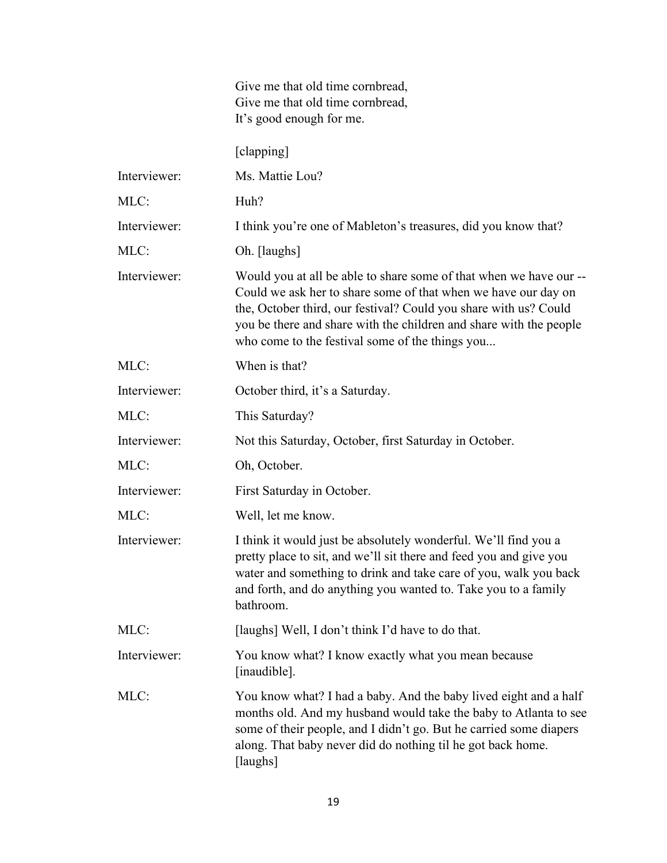|              | Give me that old time cornbread,<br>Give me that old time cornbread,<br>It's good enough for me.                                                                                                                                                                                                                                  |
|--------------|-----------------------------------------------------------------------------------------------------------------------------------------------------------------------------------------------------------------------------------------------------------------------------------------------------------------------------------|
|              | [clapping]                                                                                                                                                                                                                                                                                                                        |
| Interviewer: | Ms. Mattie Lou?                                                                                                                                                                                                                                                                                                                   |
| MLC:         | Huh?                                                                                                                                                                                                                                                                                                                              |
| Interviewer: | I think you're one of Mableton's treasures, did you know that?                                                                                                                                                                                                                                                                    |
| MLC:         | Oh. [laughs]                                                                                                                                                                                                                                                                                                                      |
| Interviewer: | Would you at all be able to share some of that when we have our --<br>Could we ask her to share some of that when we have our day on<br>the, October third, our festival? Could you share with us? Could<br>you be there and share with the children and share with the people<br>who come to the festival some of the things you |
| MLC:         | When is that?                                                                                                                                                                                                                                                                                                                     |
| Interviewer: | October third, it's a Saturday.                                                                                                                                                                                                                                                                                                   |
| MLC:         | This Saturday?                                                                                                                                                                                                                                                                                                                    |
| Interviewer: | Not this Saturday, October, first Saturday in October.                                                                                                                                                                                                                                                                            |
| MLC:         | Oh, October.                                                                                                                                                                                                                                                                                                                      |
| Interviewer: | First Saturday in October.                                                                                                                                                                                                                                                                                                        |
| MLC:         | Well, let me know.                                                                                                                                                                                                                                                                                                                |
| Interviewer: | I think it would just be absolutely wonderful. We'll find you a<br>pretty place to sit, and we'll sit there and feed you and give you<br>water and something to drink and take care of you, walk you back<br>and forth, and do anything you wanted to. Take you to a family<br>bathroom.                                          |
| MLC:         | [laughs] Well, I don't think I'd have to do that.                                                                                                                                                                                                                                                                                 |
| Interviewer: | You know what? I know exactly what you mean because<br>[inaudible].                                                                                                                                                                                                                                                               |
| MLC:         | You know what? I had a baby. And the baby lived eight and a half<br>months old. And my husband would take the baby to Atlanta to see<br>some of their people, and I didn't go. But he carried some diapers<br>along. That baby never did do nothing til he got back home.<br>[laughs]                                             |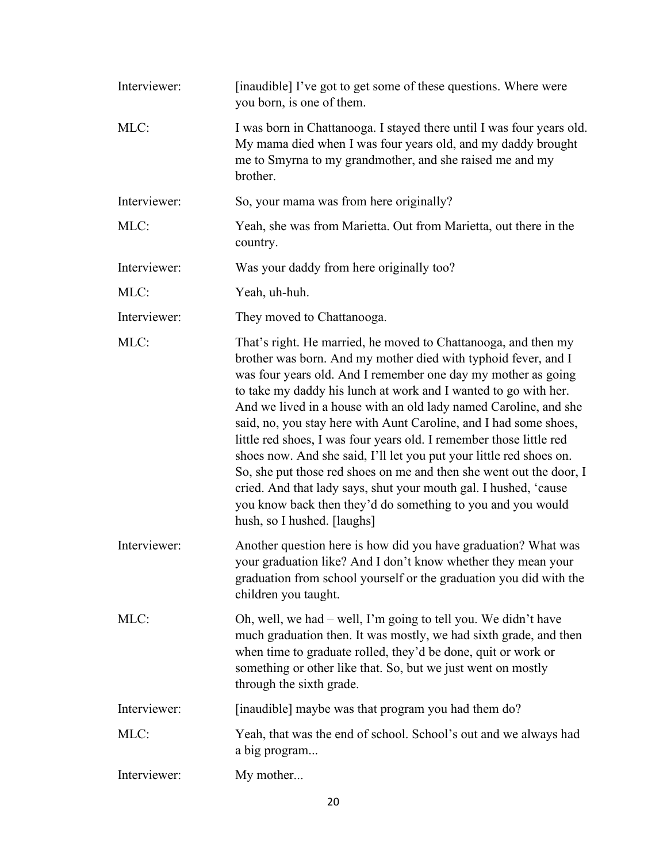| Interviewer: | [inaudible] I've got to get some of these questions. Where were<br>you born, is one of them.                                                                                                                                                                                                                                                                                                                                                                                                                                                                                                                                                                                                                                                                                                         |
|--------------|------------------------------------------------------------------------------------------------------------------------------------------------------------------------------------------------------------------------------------------------------------------------------------------------------------------------------------------------------------------------------------------------------------------------------------------------------------------------------------------------------------------------------------------------------------------------------------------------------------------------------------------------------------------------------------------------------------------------------------------------------------------------------------------------------|
| MLC:         | I was born in Chattanooga. I stayed there until I was four years old.<br>My mama died when I was four years old, and my daddy brought<br>me to Smyrna to my grandmother, and she raised me and my<br>brother.                                                                                                                                                                                                                                                                                                                                                                                                                                                                                                                                                                                        |
| Interviewer: | So, your mama was from here originally?                                                                                                                                                                                                                                                                                                                                                                                                                                                                                                                                                                                                                                                                                                                                                              |
| MLC:         | Yeah, she was from Marietta. Out from Marietta, out there in the<br>country.                                                                                                                                                                                                                                                                                                                                                                                                                                                                                                                                                                                                                                                                                                                         |
| Interviewer: | Was your daddy from here originally too?                                                                                                                                                                                                                                                                                                                                                                                                                                                                                                                                                                                                                                                                                                                                                             |
| MLC:         | Yeah, uh-huh.                                                                                                                                                                                                                                                                                                                                                                                                                                                                                                                                                                                                                                                                                                                                                                                        |
| Interviewer: | They moved to Chattanooga.                                                                                                                                                                                                                                                                                                                                                                                                                                                                                                                                                                                                                                                                                                                                                                           |
| MLC:         | That's right. He married, he moved to Chattanooga, and then my<br>brother was born. And my mother died with typhoid fever, and I<br>was four years old. And I remember one day my mother as going<br>to take my daddy his lunch at work and I wanted to go with her.<br>And we lived in a house with an old lady named Caroline, and she<br>said, no, you stay here with Aunt Caroline, and I had some shoes,<br>little red shoes, I was four years old. I remember those little red<br>shoes now. And she said, I'll let you put your little red shoes on.<br>So, she put those red shoes on me and then she went out the door, I<br>cried. And that lady says, shut your mouth gal. I hushed, 'cause<br>you know back then they'd do something to you and you would<br>hush, so I hushed. [laughs] |
| Interviewer: | Another question here is how did you have graduation? What was<br>your graduation like? And I don't know whether they mean your<br>graduation from school yourself or the graduation you did with the<br>children you taught.                                                                                                                                                                                                                                                                                                                                                                                                                                                                                                                                                                        |
| MLC:         | Oh, well, we had – well, I'm going to tell you. We didn't have<br>much graduation then. It was mostly, we had sixth grade, and then<br>when time to graduate rolled, they'd be done, quit or work or<br>something or other like that. So, but we just went on mostly<br>through the sixth grade.                                                                                                                                                                                                                                                                                                                                                                                                                                                                                                     |
| Interviewer: | [inaudible] maybe was that program you had them do?                                                                                                                                                                                                                                                                                                                                                                                                                                                                                                                                                                                                                                                                                                                                                  |
| MLC:         | Yeah, that was the end of school. School's out and we always had<br>a big program                                                                                                                                                                                                                                                                                                                                                                                                                                                                                                                                                                                                                                                                                                                    |
| Interviewer: | My mother                                                                                                                                                                                                                                                                                                                                                                                                                                                                                                                                                                                                                                                                                                                                                                                            |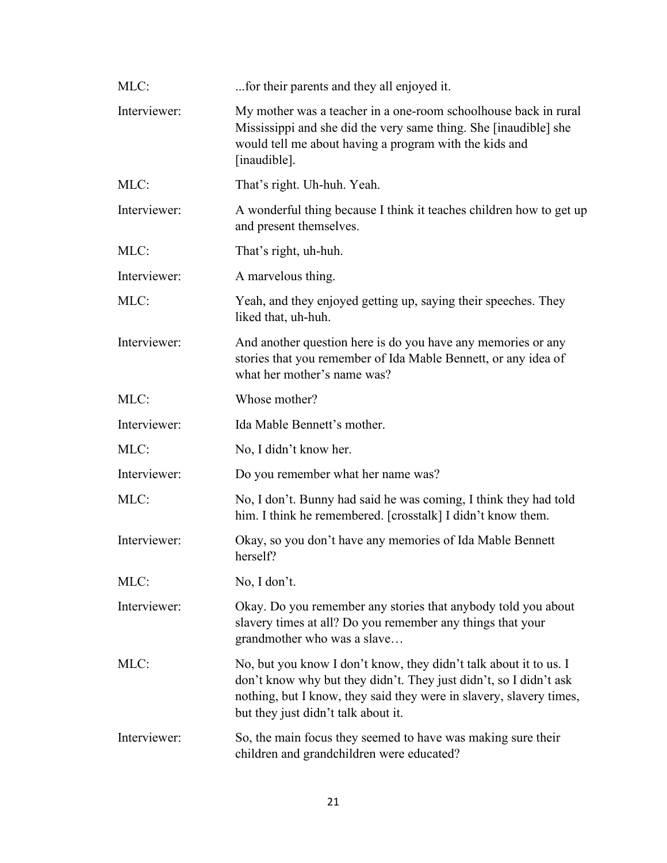| MLC:         | for their parents and they all enjoyed it.                                                                                                                                                                                                           |
|--------------|------------------------------------------------------------------------------------------------------------------------------------------------------------------------------------------------------------------------------------------------------|
| Interviewer: | My mother was a teacher in a one-room schoolhouse back in rural<br>Mississippi and she did the very same thing. She [inaudible] she<br>would tell me about having a program with the kids and<br>[inaudible].                                        |
| MLC:         | That's right. Uh-huh. Yeah.                                                                                                                                                                                                                          |
| Interviewer: | A wonderful thing because I think it teaches children how to get up<br>and present themselves.                                                                                                                                                       |
| MLC:         | That's right, uh-huh.                                                                                                                                                                                                                                |
| Interviewer: | A marvelous thing.                                                                                                                                                                                                                                   |
| MLC:         | Yeah, and they enjoyed getting up, saying their speeches. They<br>liked that, uh-huh.                                                                                                                                                                |
| Interviewer: | And another question here is do you have any memories or any<br>stories that you remember of Ida Mable Bennett, or any idea of<br>what her mother's name was?                                                                                        |
| MLC:         | Whose mother?                                                                                                                                                                                                                                        |
| Interviewer: | Ida Mable Bennett's mother.                                                                                                                                                                                                                          |
| MLC:         | No, I didn't know her.                                                                                                                                                                                                                               |
| Interviewer: | Do you remember what her name was?                                                                                                                                                                                                                   |
| MLC:         | No, I don't. Bunny had said he was coming, I think they had told<br>him. I think he remembered. [crosstalk] I didn't know them.                                                                                                                      |
| Interviewer: | Okay, so you don't have any memories of Ida Mable Bennett<br>herself?                                                                                                                                                                                |
| MLC:         | No, I don't.                                                                                                                                                                                                                                         |
| Interviewer: | Okay. Do you remember any stories that anybody told you about<br>slavery times at all? Do you remember any things that your<br>grandmother who was a slave                                                                                           |
| MLC:         | No, but you know I don't know, they didn't talk about it to us. I<br>don't know why but they didn't. They just didn't, so I didn't ask<br>nothing, but I know, they said they were in slavery, slavery times,<br>but they just didn't talk about it. |
| Interviewer: | So, the main focus they seemed to have was making sure their<br>children and grandchildren were educated?                                                                                                                                            |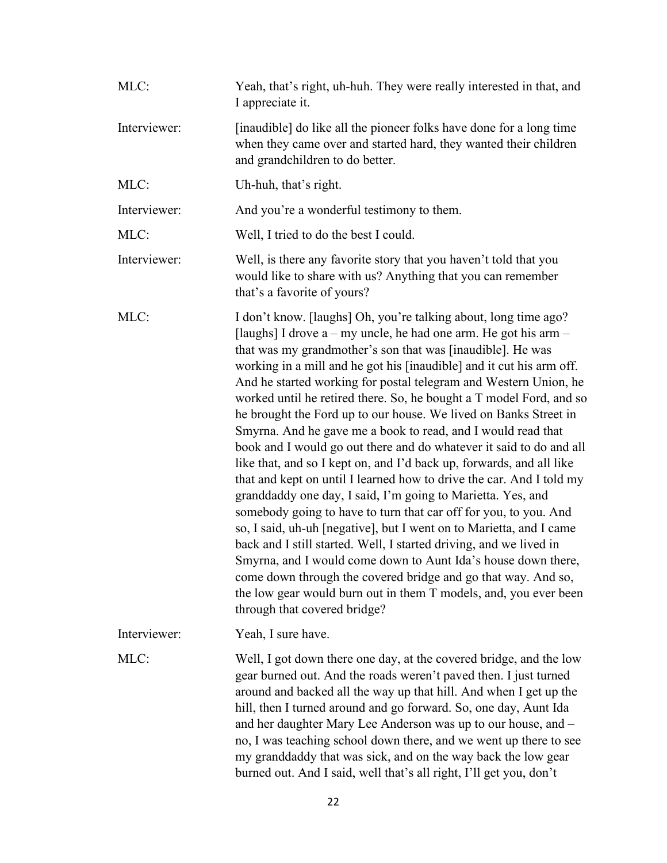| MLC:         | Yeah, that's right, uh-huh. They were really interested in that, and<br>I appreciate it.                                                                                                                                                                                                                                                                                                                                                                                                                                                                                                                                                                                                                                                                                                                                                                                                                                                                                                                                                                                                                                                                                                                                                                                                                 |
|--------------|----------------------------------------------------------------------------------------------------------------------------------------------------------------------------------------------------------------------------------------------------------------------------------------------------------------------------------------------------------------------------------------------------------------------------------------------------------------------------------------------------------------------------------------------------------------------------------------------------------------------------------------------------------------------------------------------------------------------------------------------------------------------------------------------------------------------------------------------------------------------------------------------------------------------------------------------------------------------------------------------------------------------------------------------------------------------------------------------------------------------------------------------------------------------------------------------------------------------------------------------------------------------------------------------------------|
| Interviewer: | [inaudible] do like all the pioneer folks have done for a long time<br>when they came over and started hard, they wanted their children<br>and grandchildren to do better.                                                                                                                                                                                                                                                                                                                                                                                                                                                                                                                                                                                                                                                                                                                                                                                                                                                                                                                                                                                                                                                                                                                               |
| MLC:         | Uh-huh, that's right.                                                                                                                                                                                                                                                                                                                                                                                                                                                                                                                                                                                                                                                                                                                                                                                                                                                                                                                                                                                                                                                                                                                                                                                                                                                                                    |
| Interviewer: | And you're a wonderful testimony to them.                                                                                                                                                                                                                                                                                                                                                                                                                                                                                                                                                                                                                                                                                                                                                                                                                                                                                                                                                                                                                                                                                                                                                                                                                                                                |
| MLC:         | Well, I tried to do the best I could.                                                                                                                                                                                                                                                                                                                                                                                                                                                                                                                                                                                                                                                                                                                                                                                                                                                                                                                                                                                                                                                                                                                                                                                                                                                                    |
| Interviewer: | Well, is there any favorite story that you haven't told that you<br>would like to share with us? Anything that you can remember<br>that's a favorite of yours?                                                                                                                                                                                                                                                                                                                                                                                                                                                                                                                                                                                                                                                                                                                                                                                                                                                                                                                                                                                                                                                                                                                                           |
| MLC:         | I don't know. [laughs] Oh, you're talking about, long time ago?<br>[laughs] I drove $a - my$ uncle, he had one arm. He got his arm $-$<br>that was my grandmother's son that was [inaudible]. He was<br>working in a mill and he got his [inaudible] and it cut his arm off.<br>And he started working for postal telegram and Western Union, he<br>worked until he retired there. So, he bought a T model Ford, and so<br>he brought the Ford up to our house. We lived on Banks Street in<br>Smyrna. And he gave me a book to read, and I would read that<br>book and I would go out there and do whatever it said to do and all<br>like that, and so I kept on, and I'd back up, forwards, and all like<br>that and kept on until I learned how to drive the car. And I told my<br>granddaddy one day, I said, I'm going to Marietta. Yes, and<br>somebody going to have to turn that car off for you, to you. And<br>so, I said, uh-uh [negative], but I went on to Marietta, and I came<br>back and I still started. Well, I started driving, and we lived in<br>Smyrna, and I would come down to Aunt Ida's house down there,<br>come down through the covered bridge and go that way. And so,<br>the low gear would burn out in them T models, and, you ever been<br>through that covered bridge? |
| Interviewer: | Yeah, I sure have.                                                                                                                                                                                                                                                                                                                                                                                                                                                                                                                                                                                                                                                                                                                                                                                                                                                                                                                                                                                                                                                                                                                                                                                                                                                                                       |
| MLC:         | Well, I got down there one day, at the covered bridge, and the low<br>gear burned out. And the roads weren't paved then. I just turned<br>around and backed all the way up that hill. And when I get up the<br>hill, then I turned around and go forward. So, one day, Aunt Ida<br>and her daughter Mary Lee Anderson was up to our house, and -<br>no, I was teaching school down there, and we went up there to see<br>my granddaddy that was sick, and on the way back the low gear<br>burned out. And I said, well that's all right, I'll get you, don't                                                                                                                                                                                                                                                                                                                                                                                                                                                                                                                                                                                                                                                                                                                                             |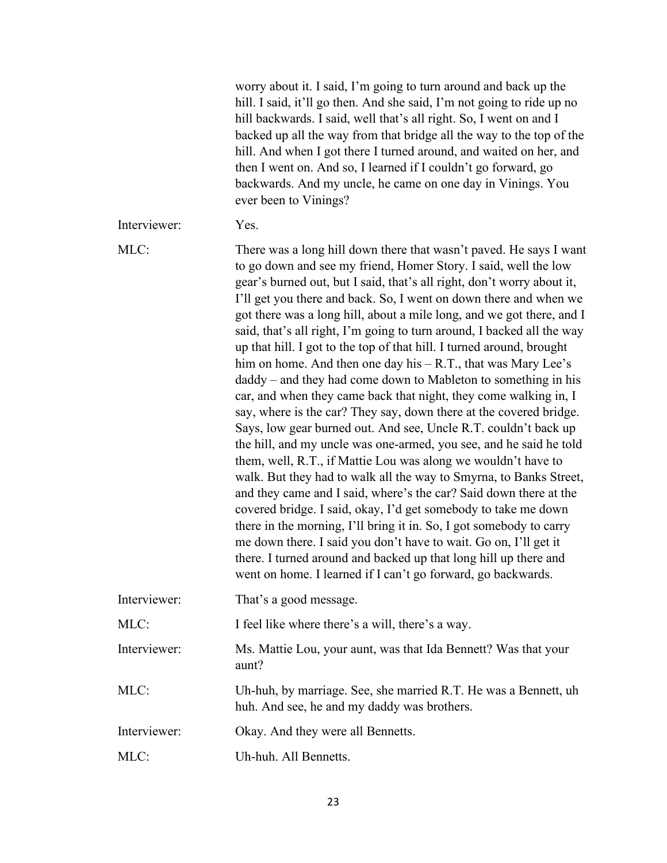|              | worry about it. I said, I'm going to turn around and back up the<br>hill. I said, it'll go then. And she said, I'm not going to ride up no<br>hill backwards. I said, well that's all right. So, I went on and I<br>backed up all the way from that bridge all the way to the top of the<br>hill. And when I got there I turned around, and waited on her, and<br>then I went on. And so, I learned if I couldn't go forward, go<br>backwards. And my uncle, he came on one day in Vinings. You<br>ever been to Vinings?                                                                                                                                                                                                                                                                                                                                                                                                                                                                                                                                                                                                                                                                                                                                                                                                                                                                                                                                                                                 |
|--------------|----------------------------------------------------------------------------------------------------------------------------------------------------------------------------------------------------------------------------------------------------------------------------------------------------------------------------------------------------------------------------------------------------------------------------------------------------------------------------------------------------------------------------------------------------------------------------------------------------------------------------------------------------------------------------------------------------------------------------------------------------------------------------------------------------------------------------------------------------------------------------------------------------------------------------------------------------------------------------------------------------------------------------------------------------------------------------------------------------------------------------------------------------------------------------------------------------------------------------------------------------------------------------------------------------------------------------------------------------------------------------------------------------------------------------------------------------------------------------------------------------------|
| Interviewer: | Yes.                                                                                                                                                                                                                                                                                                                                                                                                                                                                                                                                                                                                                                                                                                                                                                                                                                                                                                                                                                                                                                                                                                                                                                                                                                                                                                                                                                                                                                                                                                     |
| MLC:         | There was a long hill down there that wasn't paved. He says I want<br>to go down and see my friend, Homer Story. I said, well the low<br>gear's burned out, but I said, that's all right, don't worry about it,<br>I'll get you there and back. So, I went on down there and when we<br>got there was a long hill, about a mile long, and we got there, and I<br>said, that's all right, I'm going to turn around, I backed all the way<br>up that hill. I got to the top of that hill. I turned around, brought<br>him on home. And then one day his $- R.T.,$ that was Mary Lee's<br>$d$ addy – and they had come down to Mableton to something in his<br>car, and when they came back that night, they come walking in, I<br>say, where is the car? They say, down there at the covered bridge.<br>Says, low gear burned out. And see, Uncle R.T. couldn't back up<br>the hill, and my uncle was one-armed, you see, and he said he told<br>them, well, R.T., if Mattie Lou was along we wouldn't have to<br>walk. But they had to walk all the way to Smyrna, to Banks Street,<br>and they came and I said, where's the car? Said down there at the<br>covered bridge. I said, okay, I'd get somebody to take me down<br>there in the morning, I'll bring it in. So, I got somebody to carry<br>me down there. I said you don't have to wait. Go on, I'll get it<br>there. I turned around and backed up that long hill up there and<br>went on home. I learned if I can't go forward, go backwards. |
| Interviewer: | That's a good message.                                                                                                                                                                                                                                                                                                                                                                                                                                                                                                                                                                                                                                                                                                                                                                                                                                                                                                                                                                                                                                                                                                                                                                                                                                                                                                                                                                                                                                                                                   |
| MLC:         | I feel like where there's a will, there's a way.                                                                                                                                                                                                                                                                                                                                                                                                                                                                                                                                                                                                                                                                                                                                                                                                                                                                                                                                                                                                                                                                                                                                                                                                                                                                                                                                                                                                                                                         |
| Interviewer: | Ms. Mattie Lou, your aunt, was that Ida Bennett? Was that your<br>aunt?                                                                                                                                                                                                                                                                                                                                                                                                                                                                                                                                                                                                                                                                                                                                                                                                                                                                                                                                                                                                                                                                                                                                                                                                                                                                                                                                                                                                                                  |
| MLC:         | Uh-huh, by marriage. See, she married R.T. He was a Bennett, uh<br>huh. And see, he and my daddy was brothers.                                                                                                                                                                                                                                                                                                                                                                                                                                                                                                                                                                                                                                                                                                                                                                                                                                                                                                                                                                                                                                                                                                                                                                                                                                                                                                                                                                                           |
| Interviewer: | Okay. And they were all Bennetts.                                                                                                                                                                                                                                                                                                                                                                                                                                                                                                                                                                                                                                                                                                                                                                                                                                                                                                                                                                                                                                                                                                                                                                                                                                                                                                                                                                                                                                                                        |
| MLC:         | Uh-huh. All Bennetts.                                                                                                                                                                                                                                                                                                                                                                                                                                                                                                                                                                                                                                                                                                                                                                                                                                                                                                                                                                                                                                                                                                                                                                                                                                                                                                                                                                                                                                                                                    |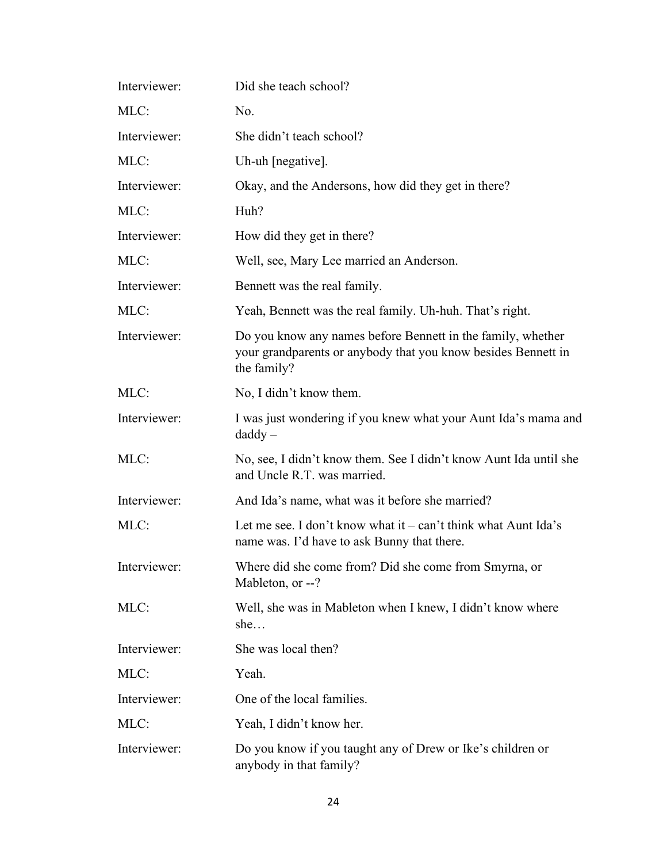| Interviewer: | Did she teach school?                                                                                                                       |
|--------------|---------------------------------------------------------------------------------------------------------------------------------------------|
| MLC:         | No.                                                                                                                                         |
| Interviewer: | She didn't teach school?                                                                                                                    |
| MLC:         | Uh-uh [negative].                                                                                                                           |
| Interviewer: | Okay, and the Andersons, how did they get in there?                                                                                         |
| MLC:         | Huh?                                                                                                                                        |
| Interviewer: | How did they get in there?                                                                                                                  |
| MLC:         | Well, see, Mary Lee married an Anderson.                                                                                                    |
| Interviewer: | Bennett was the real family.                                                                                                                |
| MLC:         | Yeah, Bennett was the real family. Uh-huh. That's right.                                                                                    |
| Interviewer: | Do you know any names before Bennett in the family, whether<br>your grandparents or anybody that you know besides Bennett in<br>the family? |
| MLC:         | No, I didn't know them.                                                                                                                     |
| Interviewer: | I was just wondering if you knew what your Aunt Ida's mama and<br>$d$ addy $-$                                                              |
| MLC:         | No, see, I didn't know them. See I didn't know Aunt Ida until she<br>and Uncle R.T. was married.                                            |
| Interviewer: | And Ida's name, what was it before she married?                                                                                             |
| MLC:         | Let me see. I don't know what it – can't think what Aunt Ida's<br>name was. I'd have to ask Bunny that there.                               |
| Interviewer: | Where did she come from? Did she come from Smyrna, or<br>Mableton, or --?                                                                   |
| MLC:         | Well, she was in Mableton when I knew, I didn't know where<br>she                                                                           |
| Interviewer: | She was local then?                                                                                                                         |
| MLC:         | Yeah.                                                                                                                                       |
| Interviewer: | One of the local families.                                                                                                                  |
| MLC:         | Yeah, I didn't know her.                                                                                                                    |
| Interviewer: | Do you know if you taught any of Drew or Ike's children or<br>anybody in that family?                                                       |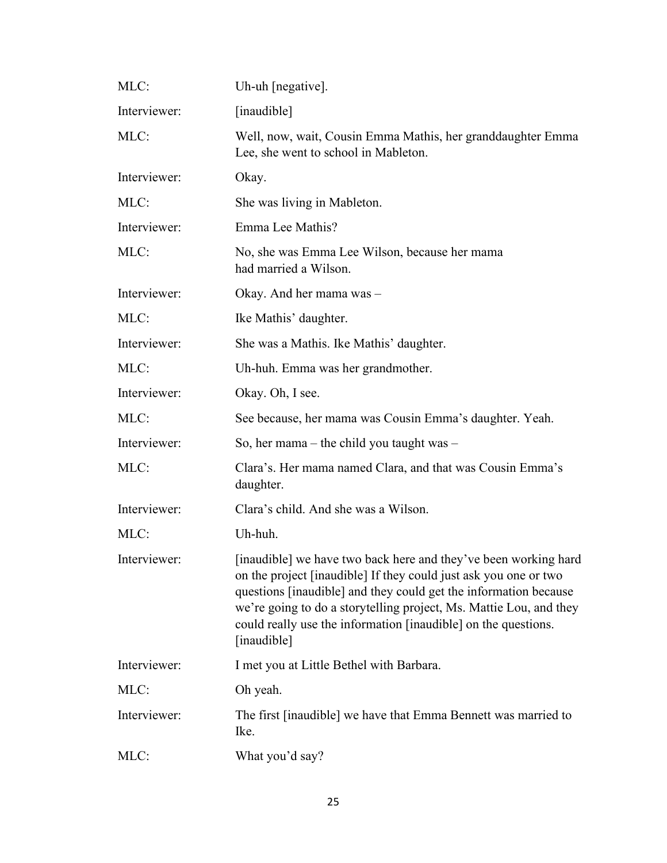| MLC:         | Uh-uh [negative].                                                                                                                                                                                                                                                                                                                                              |
|--------------|----------------------------------------------------------------------------------------------------------------------------------------------------------------------------------------------------------------------------------------------------------------------------------------------------------------------------------------------------------------|
| Interviewer: | [inaudible]                                                                                                                                                                                                                                                                                                                                                    |
| MLC:         | Well, now, wait, Cousin Emma Mathis, her granddaughter Emma<br>Lee, she went to school in Mableton.                                                                                                                                                                                                                                                            |
| Interviewer: | Okay.                                                                                                                                                                                                                                                                                                                                                          |
| MLC:         | She was living in Mableton.                                                                                                                                                                                                                                                                                                                                    |
| Interviewer: | Emma Lee Mathis?                                                                                                                                                                                                                                                                                                                                               |
| MLC:         | No, she was Emma Lee Wilson, because her mama<br>had married a Wilson.                                                                                                                                                                                                                                                                                         |
| Interviewer: | Okay. And her mama was -                                                                                                                                                                                                                                                                                                                                       |
| MLC:         | Ike Mathis' daughter.                                                                                                                                                                                                                                                                                                                                          |
| Interviewer: | She was a Mathis. Ike Mathis' daughter.                                                                                                                                                                                                                                                                                                                        |
| MLC:         | Uh-huh. Emma was her grandmother.                                                                                                                                                                                                                                                                                                                              |
| Interviewer: | Okay. Oh, I see.                                                                                                                                                                                                                                                                                                                                               |
| MLC:         | See because, her mama was Cousin Emma's daughter. Yeah.                                                                                                                                                                                                                                                                                                        |
| Interviewer: | So, her mama – the child you taught was –                                                                                                                                                                                                                                                                                                                      |
| MLC:         | Clara's. Her mama named Clara, and that was Cousin Emma's<br>daughter.                                                                                                                                                                                                                                                                                         |
| Interviewer: | Clara's child. And she was a Wilson.                                                                                                                                                                                                                                                                                                                           |
| MLC:         | Uh-huh.                                                                                                                                                                                                                                                                                                                                                        |
| Interviewer: | [inaudible] we have two back here and they've been working hard<br>on the project [inaudible] If they could just ask you one or two<br>questions [inaudible] and they could get the information because<br>we're going to do a storytelling project, Ms. Mattie Lou, and they<br>could really use the information [inaudible] on the questions.<br>[inaudible] |
| Interviewer: | I met you at Little Bethel with Barbara.                                                                                                                                                                                                                                                                                                                       |
| MLC:         | Oh yeah.                                                                                                                                                                                                                                                                                                                                                       |
| Interviewer: | The first [inaudible] we have that Emma Bennett was married to<br>Ike.                                                                                                                                                                                                                                                                                         |
| MLC:         | What you'd say?                                                                                                                                                                                                                                                                                                                                                |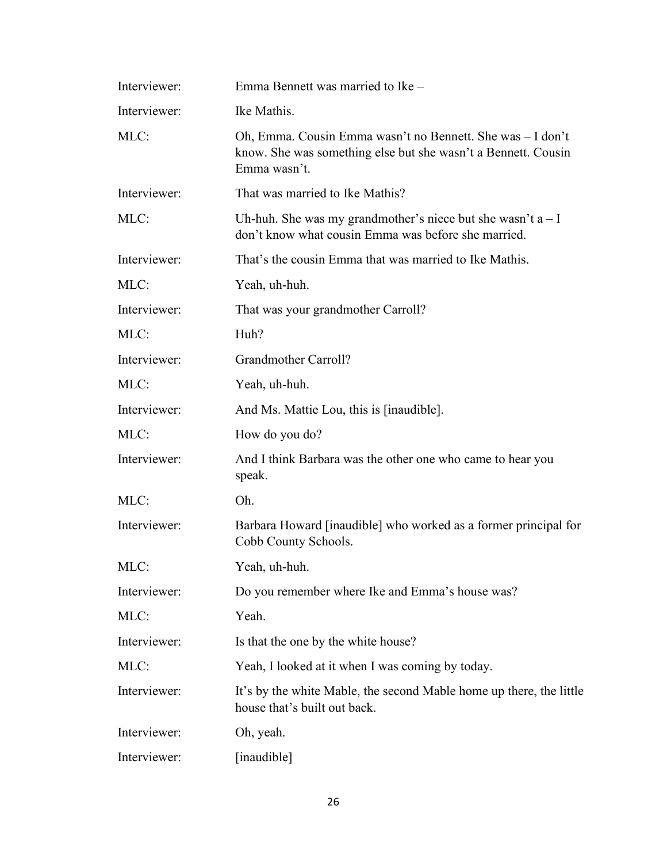| Interviewer: | Emma Bennett was married to Ike –                                                                                                           |
|--------------|---------------------------------------------------------------------------------------------------------------------------------------------|
| Interviewer: | Ike Mathis.                                                                                                                                 |
| MLC:         | Oh, Emma. Cousin Emma wasn't no Bennett. She was – I don't<br>know. She was something else but she wasn't a Bennett. Cousin<br>Emma wasn't. |
| Interviewer: | That was married to Ike Mathis?                                                                                                             |
| MLC:         | Uh-huh. She was my grandmother's niece but she wasn't $a - I$<br>don't know what cousin Emma was before she married.                        |
| Interviewer: | That's the cousin Emma that was married to Ike Mathis.                                                                                      |
| MLC:         | Yeah, uh-huh.                                                                                                                               |
| Interviewer: | That was your grandmother Carroll?                                                                                                          |
| MLC:         | Huh?                                                                                                                                        |
| Interviewer: | <b>Grandmother Carroll?</b>                                                                                                                 |
| MLC:         | Yeah, uh-huh.                                                                                                                               |
| Interviewer: | And Ms. Mattie Lou, this is [inaudible].                                                                                                    |
| MLC:         | How do you do?                                                                                                                              |
| Interviewer: | And I think Barbara was the other one who came to hear you<br>speak.                                                                        |
| MLC:         | Oh.                                                                                                                                         |
| Interviewer: | Barbara Howard [inaudible] who worked as a former principal for<br>Cobb County Schools.                                                     |
| MLC:         | Yeah, uh-huh.                                                                                                                               |
| Interviewer: | Do you remember where Ike and Emma's house was?                                                                                             |
| MLC:         | Yeah.                                                                                                                                       |
| Interviewer: | Is that the one by the white house?                                                                                                         |
| MLC:         | Yeah, I looked at it when I was coming by today.                                                                                            |
| Interviewer: | It's by the white Mable, the second Mable home up there, the little<br>house that's built out back.                                         |
| Interviewer: | Oh, yeah.                                                                                                                                   |
| Interviewer: | [inaudible]                                                                                                                                 |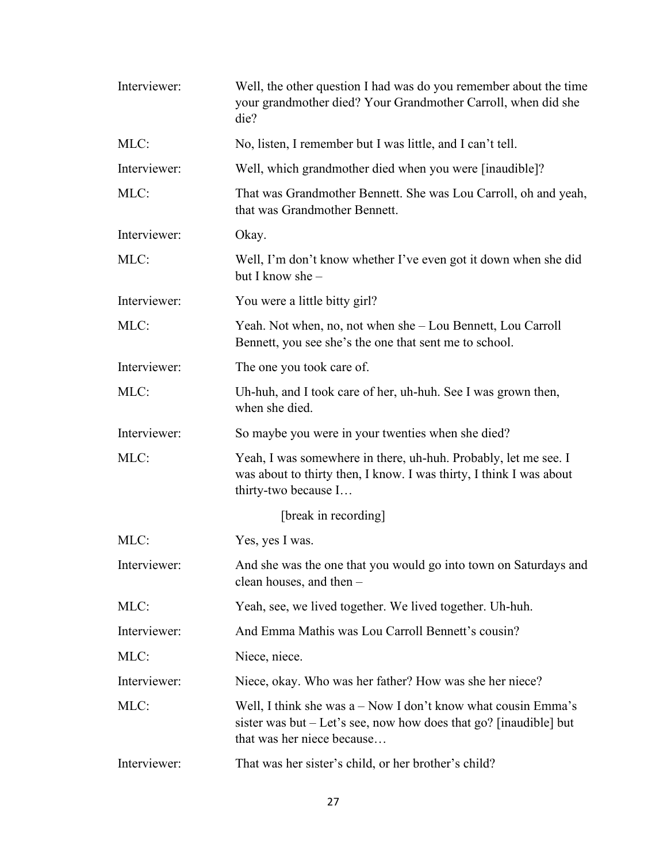| Interviewer: | Well, the other question I had was do you remember about the time<br>your grandmother died? Your Grandmother Carroll, when did she<br>die?                       |
|--------------|------------------------------------------------------------------------------------------------------------------------------------------------------------------|
| MLC:         | No, listen, I remember but I was little, and I can't tell.                                                                                                       |
| Interviewer: | Well, which grandmother died when you were [inaudible]?                                                                                                          |
| MLC:         | That was Grandmother Bennett. She was Lou Carroll, oh and yeah,<br>that was Grandmother Bennett.                                                                 |
| Interviewer: | Okay.                                                                                                                                                            |
| MLC:         | Well, I'm don't know whether I've even got it down when she did<br>but I know she -                                                                              |
| Interviewer: | You were a little bitty girl?                                                                                                                                    |
| MLC:         | Yeah. Not when, no, not when she – Lou Bennett, Lou Carroll<br>Bennett, you see she's the one that sent me to school.                                            |
| Interviewer: | The one you took care of.                                                                                                                                        |
| MLC:         | Uh-huh, and I took care of her, uh-huh. See I was grown then,<br>when she died.                                                                                  |
| Interviewer: | So maybe you were in your twenties when she died?                                                                                                                |
| MLC:         | Yeah, I was somewhere in there, uh-huh. Probably, let me see. I<br>was about to thirty then, I know. I was thirty, I think I was about<br>thirty-two because I   |
|              | [break in recording]                                                                                                                                             |
| MLC:         | Yes, yes I was.                                                                                                                                                  |
| Interviewer: | And she was the one that you would go into town on Saturdays and<br>clean houses, and then -                                                                     |
| MLC:         | Yeah, see, we lived together. We lived together. Uh-huh.                                                                                                         |
| Interviewer: | And Emma Mathis was Lou Carroll Bennett's cousin?                                                                                                                |
| MLC:         | Niece, niece.                                                                                                                                                    |
| Interviewer: | Niece, okay. Who was her father? How was she her niece?                                                                                                          |
| MLC:         | Well, I think she was a - Now I don't know what cousin Emma's<br>sister was but – Let's see, now how does that go? [inaudible] but<br>that was her niece because |
| Interviewer: | That was her sister's child, or her brother's child?                                                                                                             |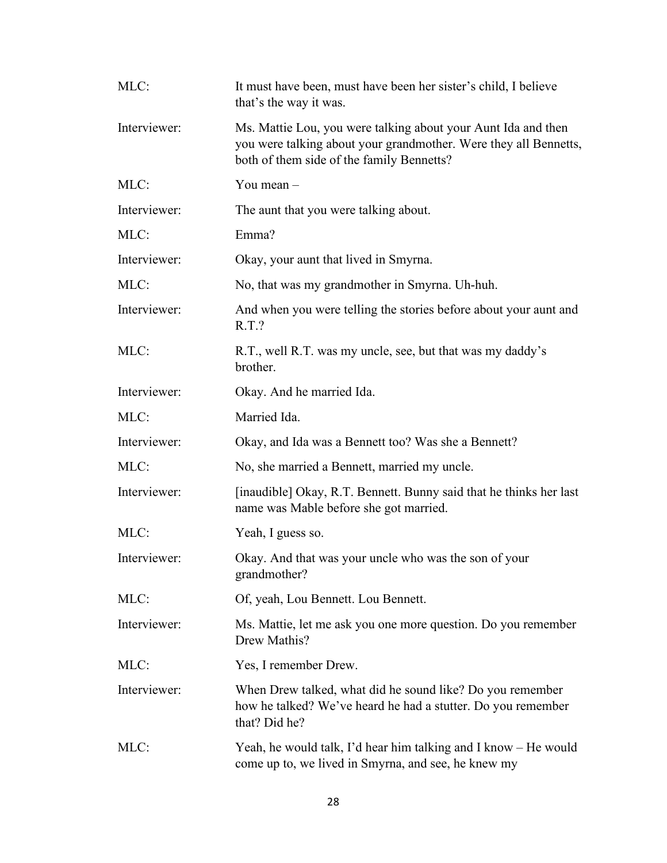| MLC:         | It must have been, must have been her sister's child, I believe<br>that's the way it was.                                                                                      |
|--------------|--------------------------------------------------------------------------------------------------------------------------------------------------------------------------------|
| Interviewer: | Ms. Mattie Lou, you were talking about your Aunt Ida and then<br>you were talking about your grandmother. Were they all Bennetts,<br>both of them side of the family Bennetts? |
| MLC:         | You mean $-$                                                                                                                                                                   |
| Interviewer: | The aunt that you were talking about.                                                                                                                                          |
| MLC:         | Emma?                                                                                                                                                                          |
| Interviewer: | Okay, your aunt that lived in Smyrna.                                                                                                                                          |
| MLC:         | No, that was my grandmother in Smyrna. Uh-huh.                                                                                                                                 |
| Interviewer: | And when you were telling the stories before about your aunt and<br>R.T.?                                                                                                      |
| MLC:         | R.T., well R.T. was my uncle, see, but that was my daddy's<br>brother.                                                                                                         |
| Interviewer: | Okay. And he married Ida.                                                                                                                                                      |
| MLC:         | Married Ida.                                                                                                                                                                   |
| Interviewer: | Okay, and Ida was a Bennett too? Was she a Bennett?                                                                                                                            |
| MLC:         | No, she married a Bennett, married my uncle.                                                                                                                                   |
| Interviewer: | [inaudible] Okay, R.T. Bennett. Bunny said that he thinks her last<br>name was Mable before she got married.                                                                   |
| MLC:         | Yeah, I guess so.                                                                                                                                                              |
| Interviewer: | Okay. And that was your uncle who was the son of your<br>grandmother?                                                                                                          |
| MLC:         | Of, yeah, Lou Bennett. Lou Bennett.                                                                                                                                            |
| Interviewer: | Ms. Mattie, let me ask you one more question. Do you remember<br>Drew Mathis?                                                                                                  |
| MLC:         | Yes, I remember Drew.                                                                                                                                                          |
| Interviewer: | When Drew talked, what did he sound like? Do you remember<br>how he talked? We've heard he had a stutter. Do you remember<br>that? Did he?                                     |
| MLC:         | Yeah, he would talk, I'd hear him talking and I know – He would<br>come up to, we lived in Smyrna, and see, he knew my                                                         |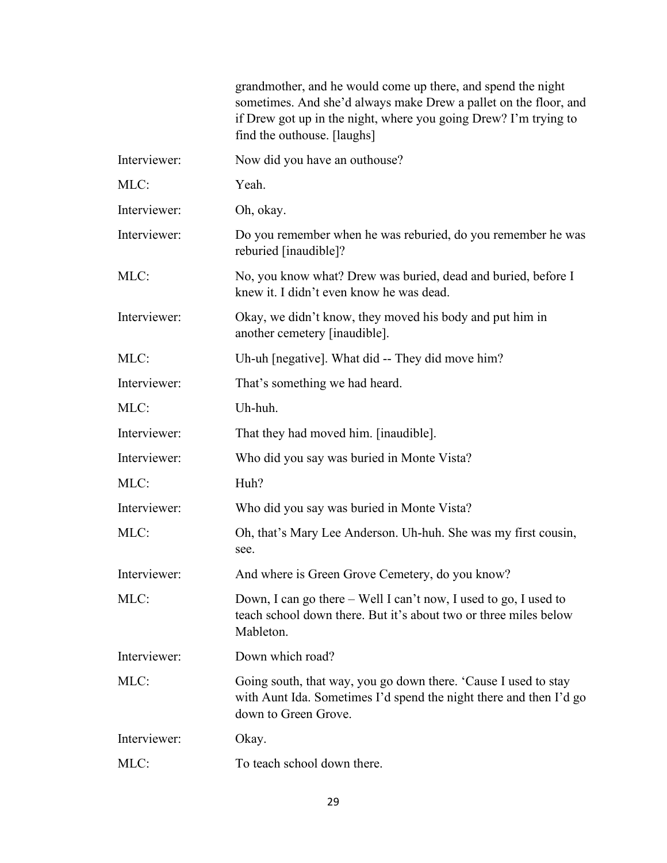|              | grandmother, and he would come up there, and spend the night<br>sometimes. And she'd always make Drew a pallet on the floor, and<br>if Drew got up in the night, where you going Drew? I'm trying to<br>find the outhouse. [laughs] |
|--------------|-------------------------------------------------------------------------------------------------------------------------------------------------------------------------------------------------------------------------------------|
| Interviewer: | Now did you have an outhouse?                                                                                                                                                                                                       |
| MLC:         | Yeah.                                                                                                                                                                                                                               |
| Interviewer: | Oh, okay.                                                                                                                                                                                                                           |
| Interviewer: | Do you remember when he was reburied, do you remember he was<br>reburied [inaudible]?                                                                                                                                               |
| MLC:         | No, you know what? Drew was buried, dead and buried, before I<br>knew it. I didn't even know he was dead.                                                                                                                           |
| Interviewer: | Okay, we didn't know, they moved his body and put him in<br>another cemetery [inaudible].                                                                                                                                           |
| MLC:         | Uh-uh [negative]. What did -- They did move him?                                                                                                                                                                                    |
| Interviewer: | That's something we had heard.                                                                                                                                                                                                      |
| MLC:         | Uh-huh.                                                                                                                                                                                                                             |
| Interviewer: | That they had moved him. [inaudible].                                                                                                                                                                                               |
| Interviewer: | Who did you say was buried in Monte Vista?                                                                                                                                                                                          |
| MLC:         | Huh?                                                                                                                                                                                                                                |
| Interviewer: | Who did you say was buried in Monte Vista?                                                                                                                                                                                          |
| MLC:         | Oh, that's Mary Lee Anderson. Uh-huh. She was my first cousin,<br>see.                                                                                                                                                              |
| Interviewer: | And where is Green Grove Cemetery, do you know?                                                                                                                                                                                     |
| MLC:         | Down, I can go there – Well I can't now, I used to go, I used to<br>teach school down there. But it's about two or three miles below<br>Mableton.                                                                                   |
| Interviewer: | Down which road?                                                                                                                                                                                                                    |
| MLC:         | Going south, that way, you go down there. 'Cause I used to stay<br>with Aunt Ida. Sometimes I'd spend the night there and then I'd go<br>down to Green Grove.                                                                       |
| Interviewer: | Okay.                                                                                                                                                                                                                               |
| MLC:         | To teach school down there.                                                                                                                                                                                                         |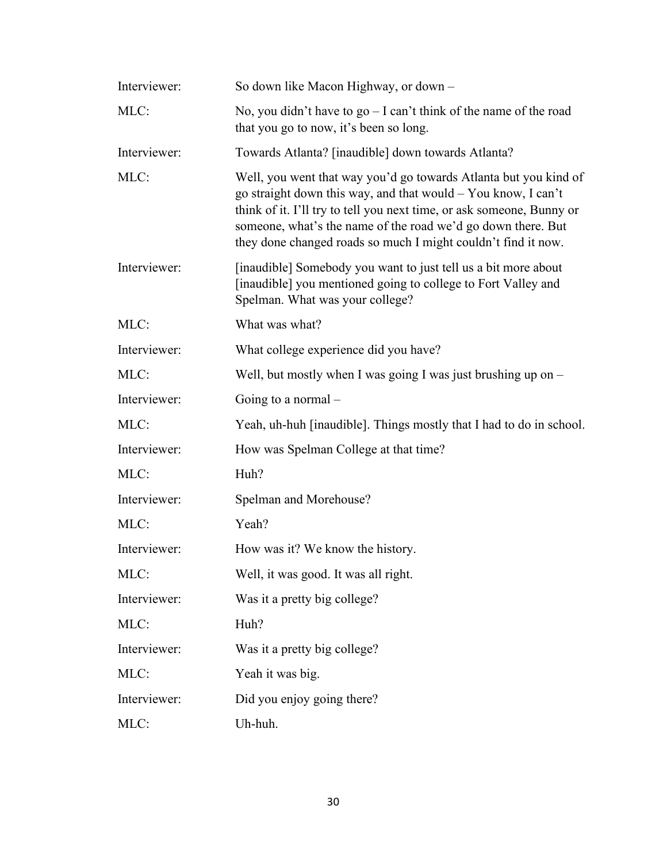| Interviewer: | So down like Macon Highway, or down –                                                                                                                                                                                                                                                                                                       |
|--------------|---------------------------------------------------------------------------------------------------------------------------------------------------------------------------------------------------------------------------------------------------------------------------------------------------------------------------------------------|
| MLC:         | No, you didn't have to $go - I can't think of the name of the road$<br>that you go to now, it's been so long.                                                                                                                                                                                                                               |
| Interviewer: | Towards Atlanta? [inaudible] down towards Atlanta?                                                                                                                                                                                                                                                                                          |
| MLC:         | Well, you went that way you'd go towards Atlanta but you kind of<br>go straight down this way, and that would - You know, I can't<br>think of it. I'll try to tell you next time, or ask someone, Bunny or<br>someone, what's the name of the road we'd go down there. But<br>they done changed roads so much I might couldn't find it now. |
| Interviewer: | [inaudible] Somebody you want to just tell us a bit more about<br>[inaudible] you mentioned going to college to Fort Valley and<br>Spelman. What was your college?                                                                                                                                                                          |
| MLC:         | What was what?                                                                                                                                                                                                                                                                                                                              |
| Interviewer: | What college experience did you have?                                                                                                                                                                                                                                                                                                       |
| MLC:         | Well, but mostly when I was going I was just brushing up on $-$                                                                                                                                                                                                                                                                             |
| Interviewer: | Going to a normal $-$                                                                                                                                                                                                                                                                                                                       |
| MLC:         | Yeah, uh-huh [inaudible]. Things mostly that I had to do in school.                                                                                                                                                                                                                                                                         |
| Interviewer: | How was Spelman College at that time?                                                                                                                                                                                                                                                                                                       |
| MLC:         | Huh?                                                                                                                                                                                                                                                                                                                                        |
| Interviewer: | Spelman and Morehouse?                                                                                                                                                                                                                                                                                                                      |
| MLC:         | Yeah?                                                                                                                                                                                                                                                                                                                                       |
| Interviewer: | How was it? We know the history.                                                                                                                                                                                                                                                                                                            |
| MLC:         | Well, it was good. It was all right.                                                                                                                                                                                                                                                                                                        |
| Interviewer: | Was it a pretty big college?                                                                                                                                                                                                                                                                                                                |
| MLC:         | Huh?                                                                                                                                                                                                                                                                                                                                        |
| Interviewer: | Was it a pretty big college?                                                                                                                                                                                                                                                                                                                |
| MLC:         | Yeah it was big.                                                                                                                                                                                                                                                                                                                            |
| Interviewer: | Did you enjoy going there?                                                                                                                                                                                                                                                                                                                  |
| MLC:         | Uh-huh.                                                                                                                                                                                                                                                                                                                                     |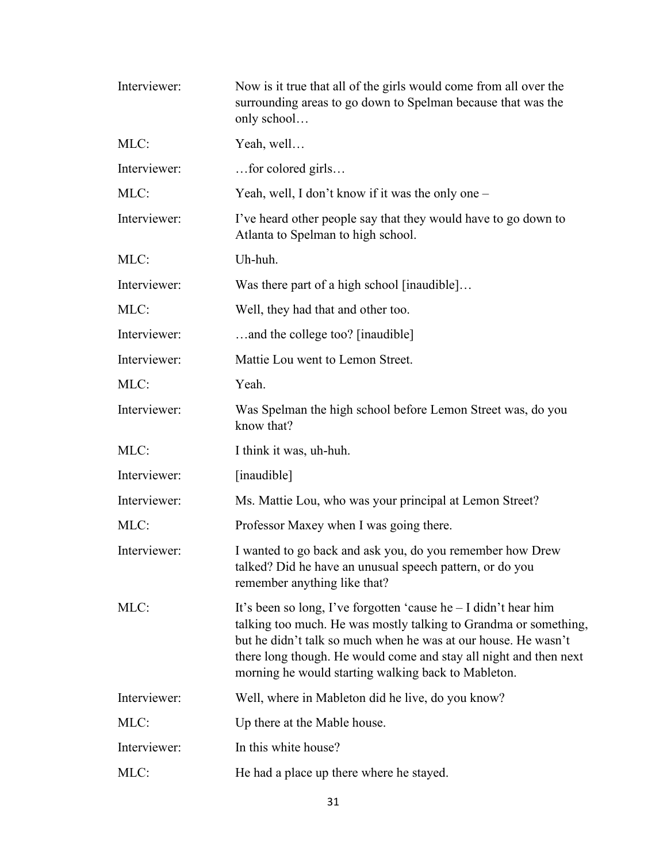| Interviewer: | Now is it true that all of the girls would come from all over the<br>surrounding areas to go down to Spelman because that was the<br>only school                                                                                                                                                                                    |
|--------------|-------------------------------------------------------------------------------------------------------------------------------------------------------------------------------------------------------------------------------------------------------------------------------------------------------------------------------------|
| MLC:         | Yeah, well                                                                                                                                                                                                                                                                                                                          |
| Interviewer: | for colored girls                                                                                                                                                                                                                                                                                                                   |
| MLC:         | Yeah, well, I don't know if it was the only one –                                                                                                                                                                                                                                                                                   |
| Interviewer: | I've heard other people say that they would have to go down to<br>Atlanta to Spelman to high school.                                                                                                                                                                                                                                |
| MLC:         | Uh-huh.                                                                                                                                                                                                                                                                                                                             |
| Interviewer: | Was there part of a high school [inaudible]                                                                                                                                                                                                                                                                                         |
| MLC:         | Well, they had that and other too.                                                                                                                                                                                                                                                                                                  |
| Interviewer: | and the college too? [inaudible]                                                                                                                                                                                                                                                                                                    |
| Interviewer: | Mattie Lou went to Lemon Street.                                                                                                                                                                                                                                                                                                    |
| MLC:         | Yeah.                                                                                                                                                                                                                                                                                                                               |
| Interviewer: | Was Spelman the high school before Lemon Street was, do you<br>know that?                                                                                                                                                                                                                                                           |
| MLC:         | I think it was, uh-huh.                                                                                                                                                                                                                                                                                                             |
| Interviewer: | [inaudible]                                                                                                                                                                                                                                                                                                                         |
| Interviewer: | Ms. Mattie Lou, who was your principal at Lemon Street?                                                                                                                                                                                                                                                                             |
| MLC:         | Professor Maxey when I was going there.                                                                                                                                                                                                                                                                                             |
| Interviewer: | I wanted to go back and ask you, do you remember how Drew<br>talked? Did he have an unusual speech pattern, or do you<br>remember anything like that?                                                                                                                                                                               |
| MLC:         | It's been so long, I've forgotten 'cause $he - I$ didn't hear him<br>talking too much. He was mostly talking to Grandma or something,<br>but he didn't talk so much when he was at our house. He wasn't<br>there long though. He would come and stay all night and then next<br>morning he would starting walking back to Mableton. |
| Interviewer: | Well, where in Mableton did he live, do you know?                                                                                                                                                                                                                                                                                   |
| MLC:         | Up there at the Mable house.                                                                                                                                                                                                                                                                                                        |
| Interviewer: | In this white house?                                                                                                                                                                                                                                                                                                                |
| MLC:         | He had a place up there where he stayed.                                                                                                                                                                                                                                                                                            |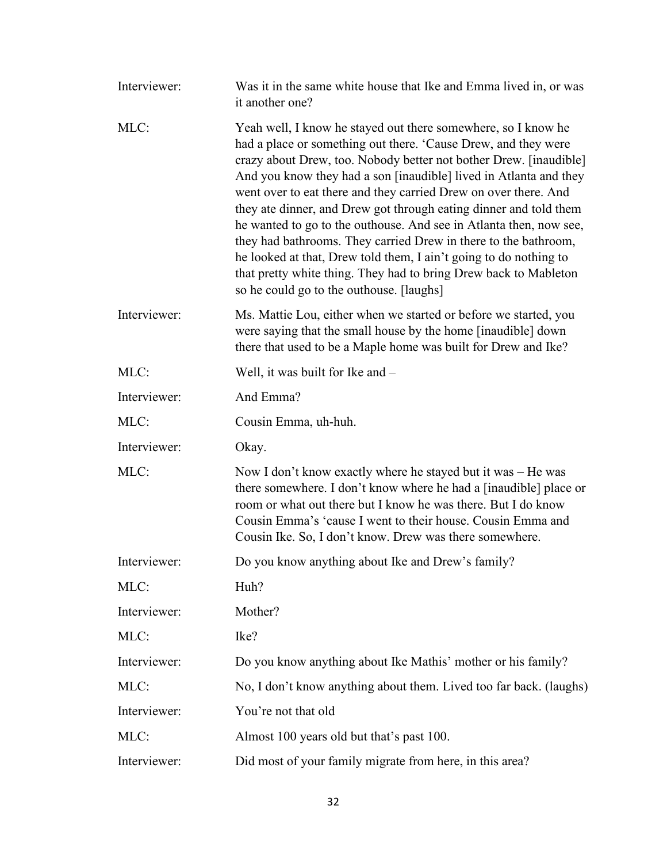| Interviewer: | Was it in the same white house that Ike and Emma lived in, or was<br>it another one?                                                                                                                                                                                                                                                                                                                                                                                                                                                                                                                                                                                                                                                            |
|--------------|-------------------------------------------------------------------------------------------------------------------------------------------------------------------------------------------------------------------------------------------------------------------------------------------------------------------------------------------------------------------------------------------------------------------------------------------------------------------------------------------------------------------------------------------------------------------------------------------------------------------------------------------------------------------------------------------------------------------------------------------------|
| MLC:         | Yeah well, I know he stayed out there somewhere, so I know he<br>had a place or something out there. 'Cause Drew, and they were<br>crazy about Drew, too. Nobody better not bother Drew. [inaudible]<br>And you know they had a son [inaudible] lived in Atlanta and they<br>went over to eat there and they carried Drew on over there. And<br>they ate dinner, and Drew got through eating dinner and told them<br>he wanted to go to the outhouse. And see in Atlanta then, now see,<br>they had bathrooms. They carried Drew in there to the bathroom,<br>he looked at that, Drew told them, I ain't going to do nothing to<br>that pretty white thing. They had to bring Drew back to Mableton<br>so he could go to the outhouse. [laughs] |
| Interviewer: | Ms. Mattie Lou, either when we started or before we started, you<br>were saying that the small house by the home [inaudible] down<br>there that used to be a Maple home was built for Drew and Ike?                                                                                                                                                                                                                                                                                                                                                                                                                                                                                                                                             |
| MLC:         | Well, it was built for Ike and -                                                                                                                                                                                                                                                                                                                                                                                                                                                                                                                                                                                                                                                                                                                |
| Interviewer: | And Emma?                                                                                                                                                                                                                                                                                                                                                                                                                                                                                                                                                                                                                                                                                                                                       |
| MLC:         | Cousin Emma, uh-huh.                                                                                                                                                                                                                                                                                                                                                                                                                                                                                                                                                                                                                                                                                                                            |
| Interviewer: | Okay.                                                                                                                                                                                                                                                                                                                                                                                                                                                                                                                                                                                                                                                                                                                                           |
| MLC:         | Now I don't know exactly where he stayed but it was - He was<br>there somewhere. I don't know where he had a [inaudible] place or<br>room or what out there but I know he was there. But I do know<br>Cousin Emma's 'cause I went to their house. Cousin Emma and<br>Cousin Ike. So, I don't know. Drew was there somewhere.                                                                                                                                                                                                                                                                                                                                                                                                                    |
| Interviewer: | Do you know anything about Ike and Drew's family?                                                                                                                                                                                                                                                                                                                                                                                                                                                                                                                                                                                                                                                                                               |
| MLC:         | Huh?                                                                                                                                                                                                                                                                                                                                                                                                                                                                                                                                                                                                                                                                                                                                            |
| Interviewer: | Mother?                                                                                                                                                                                                                                                                                                                                                                                                                                                                                                                                                                                                                                                                                                                                         |
| MLC:         | Ike?                                                                                                                                                                                                                                                                                                                                                                                                                                                                                                                                                                                                                                                                                                                                            |
| Interviewer: | Do you know anything about Ike Mathis' mother or his family?                                                                                                                                                                                                                                                                                                                                                                                                                                                                                                                                                                                                                                                                                    |
| MLC:         | No, I don't know anything about them. Lived too far back. (laughs)                                                                                                                                                                                                                                                                                                                                                                                                                                                                                                                                                                                                                                                                              |
| Interviewer: | You're not that old                                                                                                                                                                                                                                                                                                                                                                                                                                                                                                                                                                                                                                                                                                                             |
| MLC:         | Almost 100 years old but that's past 100.                                                                                                                                                                                                                                                                                                                                                                                                                                                                                                                                                                                                                                                                                                       |
| Interviewer: | Did most of your family migrate from here, in this area?                                                                                                                                                                                                                                                                                                                                                                                                                                                                                                                                                                                                                                                                                        |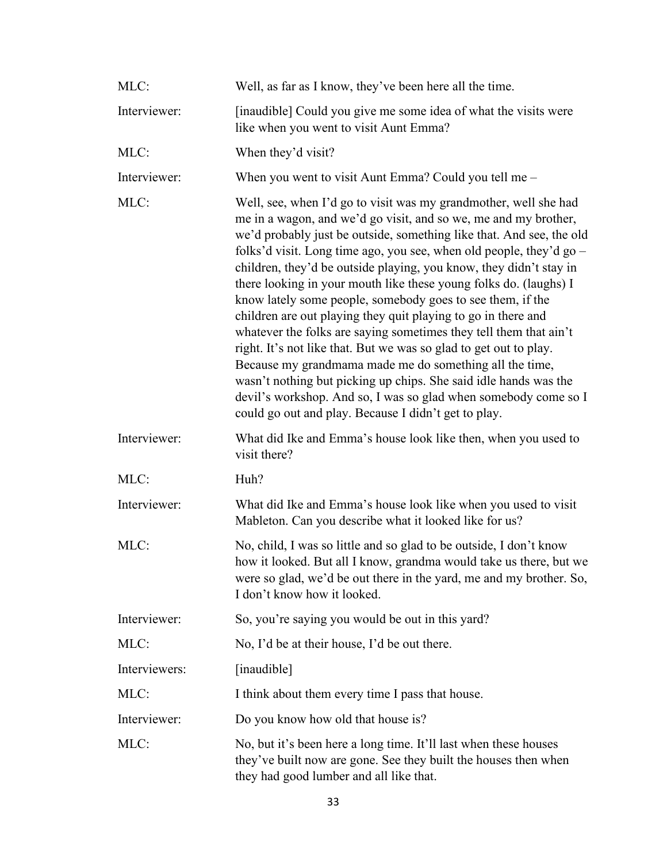| MLC:          | Well, as far as I know, they've been here all the time.                                                                                                                                                                                                                                                                                                                                                                                                                                                                                                                                                                                                                                                                                                                                                                                                                                                                                                            |
|---------------|--------------------------------------------------------------------------------------------------------------------------------------------------------------------------------------------------------------------------------------------------------------------------------------------------------------------------------------------------------------------------------------------------------------------------------------------------------------------------------------------------------------------------------------------------------------------------------------------------------------------------------------------------------------------------------------------------------------------------------------------------------------------------------------------------------------------------------------------------------------------------------------------------------------------------------------------------------------------|
| Interviewer:  | [inaudible] Could you give me some idea of what the visits were<br>like when you went to visit Aunt Emma?                                                                                                                                                                                                                                                                                                                                                                                                                                                                                                                                                                                                                                                                                                                                                                                                                                                          |
| MLC:          | When they'd visit?                                                                                                                                                                                                                                                                                                                                                                                                                                                                                                                                                                                                                                                                                                                                                                                                                                                                                                                                                 |
| Interviewer:  | When you went to visit Aunt Emma? Could you tell me $-$                                                                                                                                                                                                                                                                                                                                                                                                                                                                                                                                                                                                                                                                                                                                                                                                                                                                                                            |
| MLC:          | Well, see, when I'd go to visit was my grandmother, well she had<br>me in a wagon, and we'd go visit, and so we, me and my brother,<br>we'd probably just be outside, something like that. And see, the old<br>folks'd visit. Long time ago, you see, when old people, they'd go $-$<br>children, they'd be outside playing, you know, they didn't stay in<br>there looking in your mouth like these young folks do. (laughs) I<br>know lately some people, somebody goes to see them, if the<br>children are out playing they quit playing to go in there and<br>whatever the folks are saying sometimes they tell them that ain't<br>right. It's not like that. But we was so glad to get out to play.<br>Because my grandmama made me do something all the time,<br>wasn't nothing but picking up chips. She said idle hands was the<br>devil's workshop. And so, I was so glad when somebody come so I<br>could go out and play. Because I didn't get to play. |
| Interviewer:  | What did Ike and Emma's house look like then, when you used to<br>visit there?                                                                                                                                                                                                                                                                                                                                                                                                                                                                                                                                                                                                                                                                                                                                                                                                                                                                                     |
| MLC:          | Huh?                                                                                                                                                                                                                                                                                                                                                                                                                                                                                                                                                                                                                                                                                                                                                                                                                                                                                                                                                               |
| Interviewer:  | What did Ike and Emma's house look like when you used to visit<br>Mableton. Can you describe what it looked like for us?                                                                                                                                                                                                                                                                                                                                                                                                                                                                                                                                                                                                                                                                                                                                                                                                                                           |
| MLC:          | No, child, I was so little and so glad to be outside, I don't know<br>how it looked. But all I know, grandma would take us there, but we<br>were so glad, we'd be out there in the yard, me and my brother. So,<br>I don't know how it looked.                                                                                                                                                                                                                                                                                                                                                                                                                                                                                                                                                                                                                                                                                                                     |
| Interviewer:  | So, you're saying you would be out in this yard?                                                                                                                                                                                                                                                                                                                                                                                                                                                                                                                                                                                                                                                                                                                                                                                                                                                                                                                   |
| MLC:          | No, I'd be at their house, I'd be out there.                                                                                                                                                                                                                                                                                                                                                                                                                                                                                                                                                                                                                                                                                                                                                                                                                                                                                                                       |
| Interviewers: | [inaudible]                                                                                                                                                                                                                                                                                                                                                                                                                                                                                                                                                                                                                                                                                                                                                                                                                                                                                                                                                        |
| MLC:          | I think about them every time I pass that house.                                                                                                                                                                                                                                                                                                                                                                                                                                                                                                                                                                                                                                                                                                                                                                                                                                                                                                                   |
| Interviewer:  | Do you know how old that house is?                                                                                                                                                                                                                                                                                                                                                                                                                                                                                                                                                                                                                                                                                                                                                                                                                                                                                                                                 |
| MLC:          | No, but it's been here a long time. It'll last when these houses<br>they've built now are gone. See they built the houses then when<br>they had good lumber and all like that.                                                                                                                                                                                                                                                                                                                                                                                                                                                                                                                                                                                                                                                                                                                                                                                     |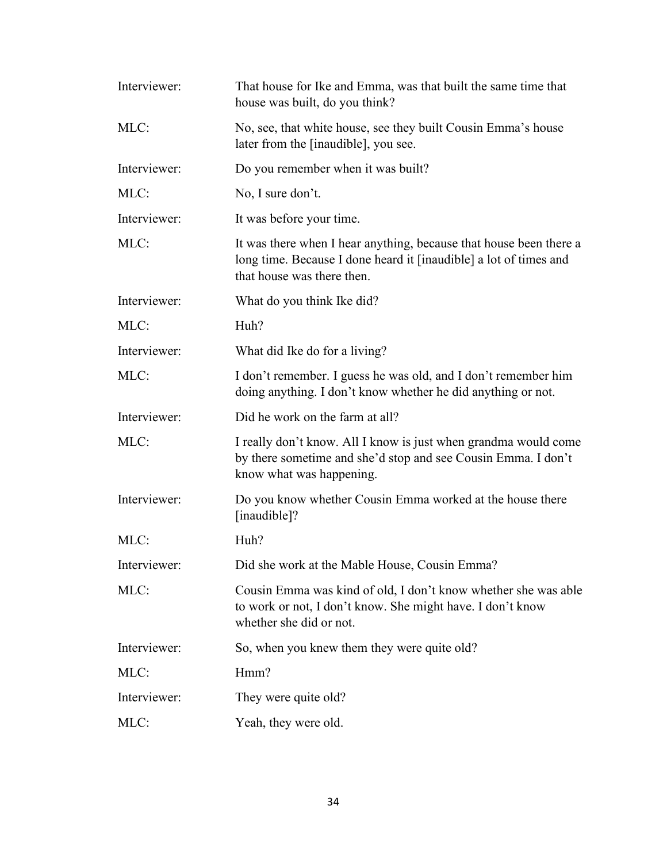| Interviewer: | That house for Ike and Emma, was that built the same time that<br>house was built, do you think?                                                                      |
|--------------|-----------------------------------------------------------------------------------------------------------------------------------------------------------------------|
| MLC:         | No, see, that white house, see they built Cousin Emma's house<br>later from the [inaudible], you see.                                                                 |
| Interviewer: | Do you remember when it was built?                                                                                                                                    |
| MLC:         | No, I sure don't.                                                                                                                                                     |
| Interviewer: | It was before your time.                                                                                                                                              |
| MLC:         | It was there when I hear anything, because that house been there a<br>long time. Because I done heard it [inaudible] a lot of times and<br>that house was there then. |
| Interviewer: | What do you think Ike did?                                                                                                                                            |
| MLC:         | Huh?                                                                                                                                                                  |
| Interviewer: | What did Ike do for a living?                                                                                                                                         |
| MLC:         | I don't remember. I guess he was old, and I don't remember him<br>doing anything. I don't know whether he did anything or not.                                        |
| Interviewer: | Did he work on the farm at all?                                                                                                                                       |
| MLC:         | I really don't know. All I know is just when grandma would come<br>by there sometime and she'd stop and see Cousin Emma. I don't<br>know what was happening.          |
| Interviewer: | Do you know whether Cousin Emma worked at the house there<br>[inaudible]?                                                                                             |
| MLC:         | Huh?                                                                                                                                                                  |
| Interviewer: | Did she work at the Mable House, Cousin Emma?                                                                                                                         |
| MLC:         | Cousin Emma was kind of old, I don't know whether she was able<br>to work or not, I don't know. She might have. I don't know<br>whether she did or not.               |
| Interviewer: | So, when you knew them they were quite old?                                                                                                                           |
| MLC:         | Hmm?                                                                                                                                                                  |
| Interviewer: | They were quite old?                                                                                                                                                  |
| MLC:         | Yeah, they were old.                                                                                                                                                  |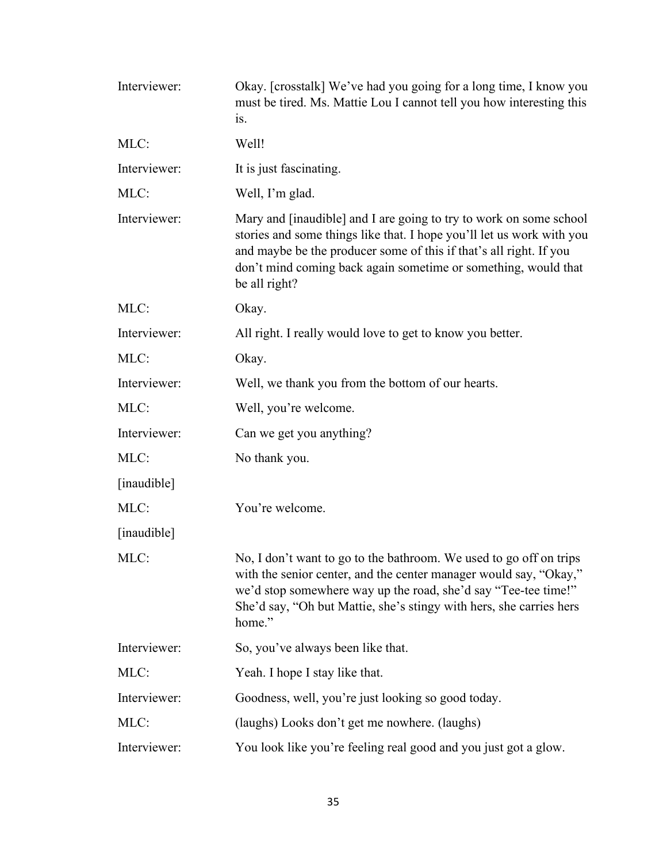| Interviewer: | Okay. [crosstalk] We've had you going for a long time, I know you<br>must be tired. Ms. Mattie Lou I cannot tell you how interesting this<br>is.                                                                                                                                                     |
|--------------|------------------------------------------------------------------------------------------------------------------------------------------------------------------------------------------------------------------------------------------------------------------------------------------------------|
| MLC:         | Well!                                                                                                                                                                                                                                                                                                |
| Interviewer: | It is just fascinating.                                                                                                                                                                                                                                                                              |
| MLC:         | Well, I'm glad.                                                                                                                                                                                                                                                                                      |
| Interviewer: | Mary and [inaudible] and I are going to try to work on some school<br>stories and some things like that. I hope you'll let us work with you<br>and maybe be the producer some of this if that's all right. If you<br>don't mind coming back again sometime or something, would that<br>be all right? |
| MLC:         | Okay.                                                                                                                                                                                                                                                                                                |
| Interviewer: | All right. I really would love to get to know you better.                                                                                                                                                                                                                                            |
| MLC:         | Okay.                                                                                                                                                                                                                                                                                                |
| Interviewer: | Well, we thank you from the bottom of our hearts.                                                                                                                                                                                                                                                    |
| MLC:         | Well, you're welcome.                                                                                                                                                                                                                                                                                |
| Interviewer: | Can we get you anything?                                                                                                                                                                                                                                                                             |
| MLC:         | No thank you.                                                                                                                                                                                                                                                                                        |
| [inaudible]  |                                                                                                                                                                                                                                                                                                      |
| MLC:         | You're welcome.                                                                                                                                                                                                                                                                                      |
| [inaudible]  |                                                                                                                                                                                                                                                                                                      |
| MLC:         | No, I don't want to go to the bathroom. We used to go off on trips<br>with the senior center, and the center manager would say, "Okay,"<br>we'd stop somewhere way up the road, she'd say "Tee-tee time!"<br>She'd say, "Oh but Mattie, she's stingy with hers, she carries hers<br>home."           |
| Interviewer: | So, you've always been like that.                                                                                                                                                                                                                                                                    |
| MLC:         | Yeah. I hope I stay like that.                                                                                                                                                                                                                                                                       |
| Interviewer: | Goodness, well, you're just looking so good today.                                                                                                                                                                                                                                                   |
| MLC:         | (laughs) Looks don't get me nowhere. (laughs)                                                                                                                                                                                                                                                        |
| Interviewer: | You look like you're feeling real good and you just got a glow.                                                                                                                                                                                                                                      |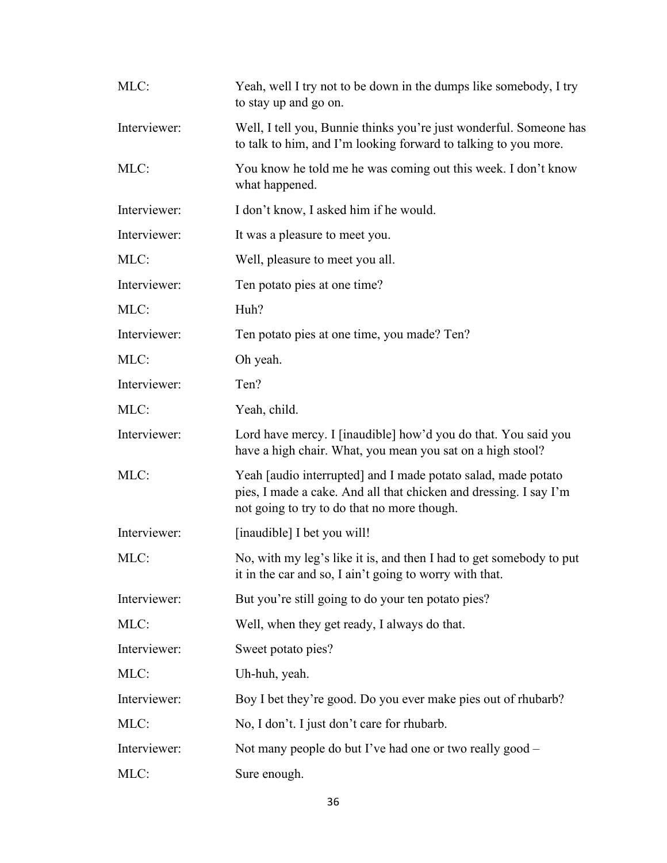| MLC:         | Yeah, well I try not to be down in the dumps like somebody, I try<br>to stay up and go on.                                                                                        |
|--------------|-----------------------------------------------------------------------------------------------------------------------------------------------------------------------------------|
| Interviewer: | Well, I tell you, Bunnie thinks you're just wonderful. Someone has<br>to talk to him, and I'm looking forward to talking to you more.                                             |
| MLC:         | You know he told me he was coming out this week. I don't know<br>what happened.                                                                                                   |
| Interviewer: | I don't know, I asked him if he would.                                                                                                                                            |
| Interviewer: | It was a pleasure to meet you.                                                                                                                                                    |
| MLC:         | Well, pleasure to meet you all.                                                                                                                                                   |
| Interviewer: | Ten potato pies at one time?                                                                                                                                                      |
| MLC:         | Huh?                                                                                                                                                                              |
| Interviewer: | Ten potato pies at one time, you made? Ten?                                                                                                                                       |
| MLC:         | Oh yeah.                                                                                                                                                                          |
| Interviewer: | Ten?                                                                                                                                                                              |
| MLC:         | Yeah, child.                                                                                                                                                                      |
| Interviewer: | Lord have mercy. I [inaudible] how'd you do that. You said you<br>have a high chair. What, you mean you sat on a high stool?                                                      |
| MLC:         | Yeah [audio interrupted] and I made potato salad, made potato<br>pies, I made a cake. And all that chicken and dressing. I say I'm<br>not going to try to do that no more though. |
| Interviewer: | [inaudible] I bet you will!                                                                                                                                                       |
| MLC:         | No, with my leg's like it is, and then I had to get somebody to put<br>it in the car and so, I ain't going to worry with that.                                                    |
| Interviewer: | But you're still going to do your ten potato pies?                                                                                                                                |
| MLC:         | Well, when they get ready, I always do that.                                                                                                                                      |
| Interviewer: | Sweet potato pies?                                                                                                                                                                |
| MLC:         | Uh-huh, yeah.                                                                                                                                                                     |
| Interviewer: | Boy I bet they're good. Do you ever make pies out of rhubarb?                                                                                                                     |
| MLC:         | No, I don't. I just don't care for rhubarb.                                                                                                                                       |
| Interviewer: | Not many people do but I've had one or two really good –                                                                                                                          |
| MLC:         | Sure enough.                                                                                                                                                                      |